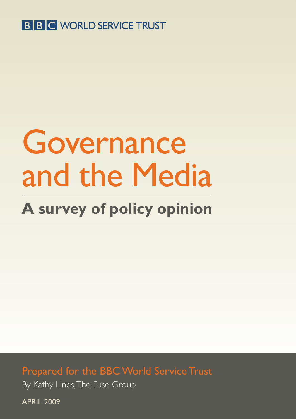## **B B C WORLD SERVICE TRUST**

# Governance and the Media

# **A survey of policy opinion**

Prepared for the BBC World Service Trust By Kathy Lines, The Fuse Group

APRIL 2009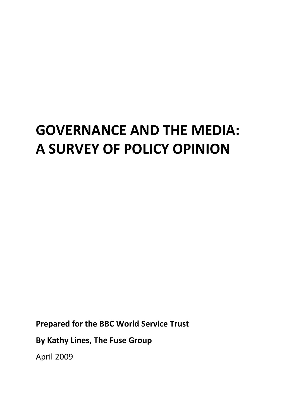# **GOVERNANCE AND THE MEDIA: A SURVEY OF POLICY OPINION**

**Prepared for the BBC World Service Trust**

**By Kathy Lines, The Fuse Group**

April 2009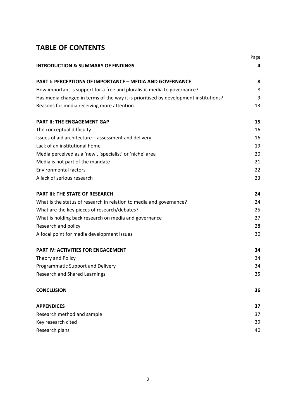#### **TABLE OF CONTENTS**

|                                                                                      | Page |
|--------------------------------------------------------------------------------------|------|
| <b>INTRODUCTION &amp; SUMMARY OF FINDINGS</b>                                        | 4    |
| <b>PART I: PERCEPTIONS OF IMPORTANCE - MEDIA AND GOVERNANCE</b>                      | 8    |
| How important is support for a free and pluralistic media to governance?             | 8    |
| Has media changed in terms of the way it is prioritised by development institutions? | 9    |
| Reasons for media receiving more attention                                           | 13   |
| <b>PART II: THE ENGAGEMENT GAP</b>                                                   | 15   |
| The conceptual difficulty                                                            | 16   |
| Issues of aid architecture - assessment and delivery                                 | 16   |
| Lack of an institutional home                                                        | 19   |
| Media perceived as a 'new', 'specialist' or 'niche' area                             | 20   |
| Media is not part of the mandate                                                     | 21   |
| <b>Environmental factors</b>                                                         | 22   |
| A lack of serious research                                                           | 23   |
| <b>PART III: THE STATE OF RESEARCH</b>                                               | 24   |
| What is the status of research in relation to media and governance?                  | 24   |
| What are the key pieces of research/debates?                                         | 25   |
| What is holding back research on media and governance                                | 27   |
| Research and policy                                                                  | 28   |
| A focal point for media development issues                                           | 30   |
| PART IV: ACTIVITIES FOR ENGAGEMENT                                                   | 34   |
| Theory and Policy                                                                    | 34   |
| Programmatic Support and Delivery                                                    | 34   |
| <b>Research and Shared Learnings</b>                                                 | 35   |
| <b>CONCLUSION</b>                                                                    | 36   |
| <b>APPENDICES</b>                                                                    | 37   |
| Research method and sample                                                           | 37   |
| Key research cited                                                                   | 39   |
| Research plans                                                                       | 40   |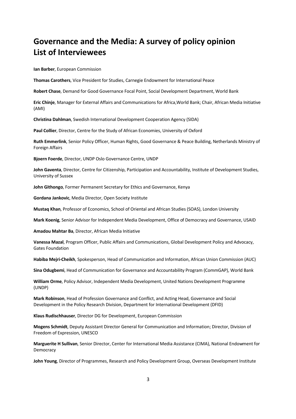### **Governance and the Media: A survey of policy opinion List of Interviewees**

**Ian Barber**, European Commission

**Thomas Carothers**, Vice President for Studies, Carnegie Endowment for International Peace

**Robert Chase**, Demand for Good Governance Focal Point, Social Development Department, World Bank

**Eric Chinje**, Manager for External Affairs and Communications for Africa,World Bank; Chair, African Media Initiative (AMI)

**Christina Dahlman**, Swedish International Development Cooperation Agency (SIDA)

**Paul Collier**, Director, Centre for the Study of African Economies, University of Oxford

**Ruth Emmerlink**, Senior Policy Officer, Human Rights, Good Governance & Peace Building, Netherlands Ministry of Foreign Affairs

**Bjoern Foerde**, Director, UNDP Oslo Governance Centre, UNDP

**John Gaventa**, Director, Centre for Citizenship, Participation and Accountability, Institute of Development Studies, University of Sussex

**John Githongo**, Former Permanent Secretary for Ethics and Governance, Kenya

**Gordana Jankovic**, Media Director, Open Society Institute

**Mustaq Khan**, Professor of Economics, School of Oriental and African Studies (SOAS), London University

**Mark Koenig**, Senior Advisor for Independent Media Development, Office of Democracy and Governance, USAID

**Amadou Mahtar Ba**, Director, African Media Initiative

**Vanessa Mazal**, Program Officer, Public Affairs and Communications, Global Development Policy and Advocacy, Gates Foundation

**Habiba Mejri‐Cheikh**, Spokesperson, Head of Communication and Information, African Union Commission (AUC)

**Sina Odugbemi**, Head of Communication for Governance and Accountability Program (CommGAP), World Bank

**William Orme**, Policy Advisor, Independent Media Development, United Nations Development Programme (UNDP)

**Mark Robinson**, Head of Profession Governance and Conflict, and Acting Head, Governance and Social Development in the Policy Research Division, Department for International Development (DFID)

**Klaus Rudischhauser**, Director DG for Development, European Commission

**Mogens Schmidt**, Deputy Assistant Director General for Communication and Information; Director, Division of Freedom of Expression, UNESCO

**Marguerite H Sullivan**, Senior Director, Center for International Media Assistance (CIMA), National Endowment for Democracy

**John Young**, Director of Programmes, Research and Policy Development Group, Overseas Development Institute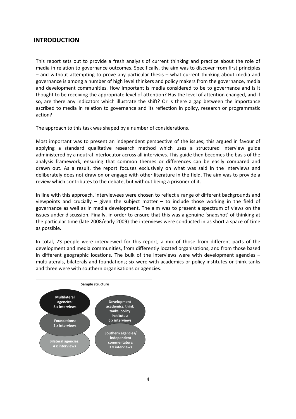#### **INTRODUCTION**

This report sets out to provide a fresh analysis of current thinking and practice about the role of media in relation to governance outcomes. Specifically, the aim was to discover from first principles – and without attempting to prove any particular thesis – what current thinking about media and governance is among a number of high level thinkers and policy makers from the governance, media and development communities. How important is media considered to be to governance and is it thought to be receiving the appropriate level of attention? Has the level of attention changed, and if so, are there any indicators which illustrate the shift? Or is there a gap between the importance ascribed to media in relation to governance and its reflection in policy, research or programmatic action?

The approach to this task was shaped by a number of considerations.

Most important was to present an independent perspective of the issues; this argued in favour of applying a standard qualitative research method which uses a structured interview guide administered by a neutral interlocutor across all interviews. This guide then becomes the basis of the analysis framework, ensuring that common themes or differences can be easily compared and drawn out. As a result, the report focuses exclusively on what was said in the interviews and deliberately does not draw on or engage with other literature in the field. The aim was to provide a review which contributes to the debate, but without being a prisoner of it.

In line with this approach, interviewees were chosen to reflect a range of different backgrounds and viewpoints and crucially  $-$  given the subject matter  $-$  to include those working in the field of governance as well as in media development. The aim was to present a spectrum of views on the issues under discussion. Finally, in order to ensure that this was a genuine 'snapshot' of thinking at the particular time (late 2008/early 2009) the interviews were conducted in as short a space of time as possible.

In total, 23 people were interviewed for this report, a mix of those from different parts of the development and media communities, from differently located organisations, and from those based in different geographic locations. The bulk of the interviews were with development agencies  $$ multilaterals, bilaterals and foundations; six were with academics or policy institutes or think tanks and three were with southern organisations or agencies.

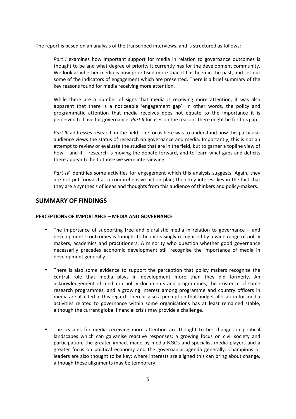The report is based on an analysis of the transcribed interviews, and is structured as follows:

*Part I* examines how important support for media in relation to governance outcomes is thought to be and what degree of priority it currently has for the development community. We look at whether media is now prioritised more than it has been in the past, and set out some of the indicators of engagement which are presented. There is a brief summary of the key reasons found for media receiving more attention.

While there are a number of signs that media is receiving more attention, it was also apparent that there is a noticeable 'engagement gap'. In other words, the policy and programmatic attention that media receives does not equate to the importance it is perceived to have for governance. *Part II* focuses on the reasons there might be for this gap.

Part III addresses research in the field. The focus here was to understand how this particular audience views the status of research on governance and media. Importantly, this is not an attempt to review or evaluate the studies that are in the field, but to garner a topline view of how – and if – research is moving the debate forward, and to learn what gaps and deficits there appear to be to those we were interviewing.

*Part IV* identifies some activities for engagement which this analysis suggests. Again, they are not put forward as a comprehensive action plan; their key interest lies in the fact that they are a synthesis of ideas and thoughts from this audience of thinkers and policy-makers.

#### **SUMMARY OF FINDINGS**

#### **PERCEPTIONS OF IMPORTANCE – MEDIA AND GOVERNANCE**

- The importance of supporting free and pluralistic media in relation to governance and development – outcomes is thought to be increasingly recognised by a wide range of policy makers, academics and practitioners. A minority who question whether good governance necessarily precedes economic development still recognise the importance of media in development generally.
- There is also some evidence to support the perception that policy makers recognise the central role that media plays in development more than they did formerly. An acknowledgement of media in policy documents and programmes, the existence of some research programmes, and a growing interest among programme and country officers in media are all cited in this regard. There is also a perception that budget allocation for media activities related to governance within some organisations has at least remained stable, although the current global financial crisis may provide a challenge.
- The reasons for media receiving more attention are thought to be: changes in political landscapes which can galvanise reactive responses; a growing focus on civil society and participation; the greater impact made by media NGOs and specialist media players and a greater focus on political economy and the governance agenda generally. Champions or leaders are also thought to be key; where interests are aligned this can bring about change, although these alignments may be temporary.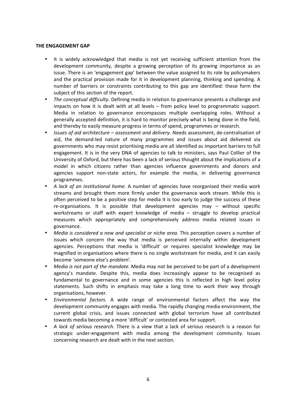#### **THE ENGAGEMENT GAP**

- It is widely acknowledged that media is not yet receiving sufficient attention from the development community, despite a growing perception of its growing importance as an issue. There is an 'engagement gap' between the value assigned to its role by policymakers and the practical provision made for it in development planning, thinking and spending. A number of barriers or constraints contributing to this gap are identified: these form the subject of this section of the report.
- *The conceptual difficulty*. Defining media in relation to governance presents a challenge and impacts on how it is dealt with at all levels – from policy level to programmatic support. Media in relation to governance encompasses multiple overlapping roles. Without a generally accepted definition, it is hard to monitor precisely what is being done in the field, and thereby to easily measure progress in terms of spend, programmes or research.
- *Issues of aid architecture assessment and delivery.* Needs assessment, de‐centralisation of aid, the demand-led nature of many programmes and issues about aid delivered via governments who may resist prioritising media are all identified as important barriers to full engagement. It is in the very DNA of agencies to talk to ministers, says Paul Collier of the University of Oxford, but there has been a lack of serious thought about the implications of a model in which citizens rather than agencies influence governments and donors and agencies support non‐state actors, for example the media, in delivering governance programmes.
- *A lack of an institutional home.* A number of agencies have reorganised their media work streams and brought them more firmly under the governance work stream. While this is often perceived to be a positive step for media it is too early to judge the success of these re-organisations. It is possible that development agencies may - without specific workstreams or staff with expert knowledge of media - struggle to develop practical measures which appropriately and comprehensively address media related issues in governance.
- *Media is considered a new and specialist or niche area.* This perception covers a number of issues which concern the way that media is perceived internally within development agencies. Perceptions that media is 'difficult' or requires specialist knowledge may be magnified in organisations where there is no single workstream for media, and it can easily become 'someone else's problem'.
- *Media is not part of the mandate*. Media may not be perceived to be part of a development agency's mandate. Despite this, media does increasingly appear to be recognised as fundamental to governance and in some agencies this is reflected in high level policy statements. Such shifts in emphasis may take a long time to work their way through organisations, however.
- *Environmental factors.* A wide range of environmental factors affect the way the development community engages with media. The rapidly changing media environment, the current global crisis, and issues connected with global terrorism have all contributed towards media becoming a more 'difficult' or contested area for support.
- *A lack of serious research.* There is a view that a lack of serious research is a reason for strategic under‐engagement with media among the development community. Issues concerning research are dealt with in the next section.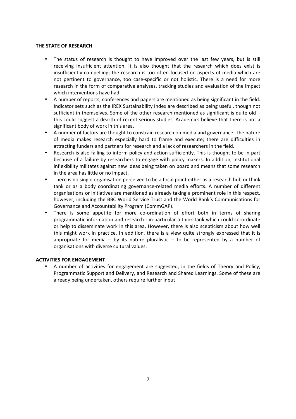#### **THE STATE OF RESEARCH**

- The status of research is thought to have improved over the last few years, but is still receiving insufficient attention. It is also thought that the research which does exist is insufficiently compelling; the research is too often focused on aspects of media which are not pertinent to governance, too case-specific or not holistic. There is a need for more research in the form of comparative analyses, tracking studies and evaluation of the impact which interventions have had.
- A number of reports, conferences and papers are mentioned as being significant in the field. Indicator sets such as the IREX Sustainability Index are described as being useful, though not sufficient in themselves. Some of the other research mentioned as significant is quite old  $$ this could suggest a dearth of recent serious studies. Academics believe that there is not a significant body of work in this area.
- A number of factors are thought to constrain research on media and governance: The nature of media makes research especially hard to frame and execute; there are difficulties in attracting funders and partners for research and a lack of researchers in the field.
- Research is also failing to inform policy and action sufficiently. This is thought to be in part because of a failure by researchers to engage with policy makers. In addition, institutional inflexibility militates against new ideas being taken on board and means that some research in the area has little or no impact.
- There is no single organisation perceived to be a focal point either as a research hub or think tank or as a body coordinating governance-related media efforts. A number of different organisations or initiatives are mentioned as already taking a prominent role in this respect, however, including the BBC World Service Trust and the World Bank's Communications for Governance and Accountability Program (CommGAP).
- There is some appetite for more co-ordination of effort both in terms of sharing programmatic information and research ‐ in particular a think‐tank which could co‐ordinate or help to disseminate work in this area. However, there is also scepticism about how well this might work in practice. In addition, there is a view quite strongly expressed that it is appropriate for media  $-$  by its nature pluralistic  $-$  to be represented by a number of organisations with diverse cultural values.

#### **ACTIVITIES FOR ENGAGEMENT**

• A number of activities for engagement are suggested, in the fields of Theory and Policy, Programmatic Support and Delivery, and Research and Shared Learnings. Some of these are already being undertaken, others require further input.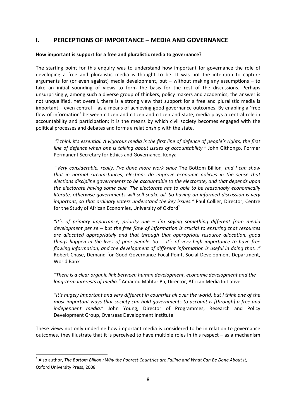#### **I. PERCEPTIONS OF IMPORTANCE – MEDIA AND GOVERNANCE**

#### **How important is support for a free and pluralistic media to governance?**

The starting point for this enquiry was to understand how important for governance the role of developing a free and pluralistic media is thought to be. It was not the intention to capture arguments for (or even against) media development, but  $-$  without making any assumptions  $-$  to take an initial sounding of views to form the basis for the rest of the discussions. Perhaps unsurprisingly, among such a diverse group of thinkers, policy makers and academics, the answer is not unqualified. Yet overall, there is a strong view that support for a free and pluralistic media is important – even central – as a means of achieving good governance outcomes. By enabling a 'free flow of information' between citizen and citizen and citizen and state, media plays a central role in accountability and participation; it is the means by which civil society becomes engaged with the political processes and debates and forms a relationship with the state.

 *"I think it's essential. A vigorous media is the first line of defence of people's rights, the first line of defence when one is talking about issues of accountability.*" John Githongo, Former Permanent Secretary for Ethics and Governance, Kenya

 *"Very considerable, really. I've done more work since*  The Bottom Billion*, and I can show that in normal circumstances, elections do improve economic policies in the sense that elections discipline governments to be accountable to the electorate, and that depends upon the electorate having some clue. The electorate has to able to be reasonably economically literate, otherwise governments will sell snake oil. So having an informed discussion is very important, so that ordinary voters understand the key issues."* Paul Collier, Director, Centre for the Study of African Economies, University of Oxford<sup>1</sup>

*"It's of primary importance, priority one – I'm saying something different from media development per se – but the free flow of information is crucial to ensuring that resources are allocated appropriately and that through that appropriate resource allocation, good things happen in the lives of poor people. So … it's of very high importance to have free flowing information, and the development of different information is useful in doing that…"*  Robert Chase, Demand for Good Governance Focal Point, Social Development Department, World Bank

*"There is a clear organic link between human development, economic development and the long‐term interests of media."* Amadou Mahtar Ba, Director, African Media Initiative

*"It's hugely important and very different in countries all over the world, but I think one of the most important ways that society can hold governments to account is [through] a free and independent media*." John Young, Director of Programmes, Research and Policy Development Group, Overseas Development Institute

These views not only underline how important media is considered to be in relation to governance outcomes, they illustrate that it is perceived to have multiple roles in this respect – as a mechanism

 <sup>1</sup> Also author, *The Bottom Billion : Why the Poorest Countries are Failing and What Can Be Done About It*, Oxford University Press, 2008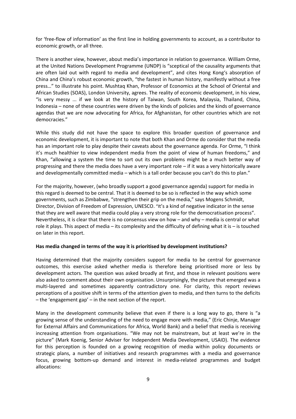for 'free‐flow of information' as the first line in holding governments to account, as a contributor to economic growth, or all three.

There is another view, however, about media's importance in relation to governance. William Orme, at the United Nations Development Programme (UNDP) is "sceptical of the causality arguments that are often laid out with regard to media and development", and cites Hong Kong's absorption of China and China's robust economic growth, "the fastest in human history, manifestly without a free press…" to illustrate his point. Mushtaq Khan, Professor of Economics at the School of Oriental and African Studies (SOAS), London University, agrees. The reality of economic development, in his view, "is very messy ... if we look at the history of Taiwan, South Korea, Malaysia, Thailand, China, Indonesia – none of these countries were driven by the kinds of policies and the kinds of governance agendas that we are now advocating for Africa, for Afghanistan, for other countries which are not democracies."

While this study did not have the space to explore this broader question of governance and economic development, it is important to note that both Khan and Orme do consider that the media has an important role to play despite their caveats about the governance agenda. For Orme, "I think it's much healthier to view independent media from the point of view of human freedoms," and Khan, "allowing a system the time to sort out its own problems might be a much better way of progressing and there the media does have a very important role – if it was a very historically aware and developmentally committed media – which is a tall order because you can't do this to plan."

For the majority, however, (who broadly support a good governance agenda) support for media in this regard is deemed to be central. That it is deemed to be so is reflected in the way which some governments, such as Zimbabwe, "strengthen their grip on the media," says Mogens Schmidt, Director, Division of Freedom of Expression, UNESCO. "It's a kind of negative indicator in the sense that they are well aware that media could play a very strong role for the democratisation process". Nevertheless, it is clear that there is no consensus view on how – and why – media is central or what role it plays. This aspect of media – its complexity and the difficulty of defining what it is – is touched on later in this report.

#### **Has media changed in terms of the way it is prioritised by development institutions?**

Having determined that the majority considers support for media to be central for governance outcomes, this exercise asked whether media is therefore being prioritised more or less by development actors. The question was asked broadly at first, and those in relevant positions were also asked to comment about their own organisation. Unsurprisingly, the picture that emerged was a multi-layered and sometimes apparently contradictory one. For clarity, this report reviews perceptions of a positive shift in terms of the attention given to media, and then turns to the deficits – the 'engagement gap' – in the next section of the report.

Many in the development community believe that even if there is a long way to go, there is "a growing sense of the understanding of the need to engage more with media," (Eric Chinje, Manager for External Affairs and Communications for Africa, World Bank) and a belief that media is receiving increasing attention from organisations. "We may not be mainstream, but at least we're in the picture" (Mark Koenig, Senior Adviser for Independent Media Development, USAID). The evidence for this perception is founded on a growing recognition of media within policy documents or strategic plans, a number of initiatives and research programmes with a media and governance focus, growing bottom‐up demand and interest in media‐related programmes and budget allocations: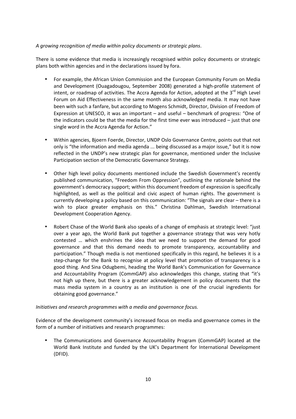#### *A growing recognition of media within policy documents or strategic plans*.

There is some evidence that media is increasingly recognised within policy documents or strategic plans both within agencies and in the declarations issued by fora.

- For example, the African Union Commission and the European Community Forum on Media and Development (Ouagadougou, September 2008) generated a high-profile statement of intent, or roadmap of activities. The Accra Agenda for Action, adopted at the  $3^{rd}$  High Level Forum on Aid Effectiveness in the same month also acknowledged media. It may not have been with such a fanfare, but according to Mogens Schmidt, Director, Division of Freedom of Expression at UNESCO, it was an important – and useful – benchmark of progress: "One of the indicators could be that the media for the first time ever was introduced – just that one single word in the Accra Agenda for Action."
- Within agencies, Bjoern Foerde, Director, UNDP Oslo Governance Centre, points out that not only is "the information and media agenda ... being discussed as a major issue," but it is now reflected in the UNDP's new strategic plan for governance, mentioned under the Inclusive Participation section of the Democratic Governance Strategy.
- Other high level policy documents mentioned include the Swedish Government's recently published communication, "Freedom From Oppression", outlining the rationale behind the government's democracy support; within this document freedom of expression is specifically highlighted, as well as the political and civic aspect of human rights. The government is currently developing a policy based on this communication: "The signals are clear – there is a wish to place greater emphasis on this." Christina Dahlman, Swedish International Development Cooperation Agency.
- Robert Chase of the World Bank also speaks of a change of emphasis at strategic level: "just over a year ago, the World Bank put together a governance strategy that was very hotly contested ... which enshrines the idea that we need to support the demand for good governance and that this demand needs to promote transparency, accountability and participation." Though media is not mentioned specifically in this regard, he believes it is a step-change for the Bank to recognise at policy level that promotion of transparency is a good thing. And Sina Odugbemi, heading the World Bank's Communication for Governance and Accountability Program (CommGAP) also acknowledges this change, stating that "it's not high up there, but there is a greater acknowledgement in policy documents that the mass media system in a country as an institution is one of the crucial ingredients for obtaining good governance."

#### *Initiatives and research programmes with a media and governance focus.*

Evidence of the development community's increased focus on media and governance comes in the form of a number of initiatives and research programmes:

• The Communications and Governance Accountability Program (CommGAP) located at the World Bank Institute and funded by the UK's Department for International Development (DFID).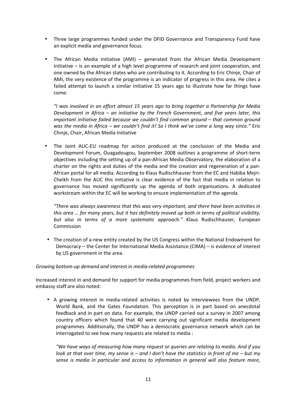- Three large programmes funded under the DFID Governance and Transparency Fund have an explicit media and governance focus.
- The African Media Initiative (AMI) generated from the African Media Development Initiative – is an example of a high level programme of research and joint cooperation, and one owned by the African states who are contributing to it. According to Eric Chinje, Chair of AMI, the very existence of the programme is an indicator of progress in this area. He cites a failed attempt to launch a similar initiative 15 years ago to illustrate how far things have come:

*"I was involved in an effort almost 15 years ago to bring together a Partnership for Media Development in Africa – an initiative by the French Government, and five years later, this important initiative failed because we couldn't find common ground – that common ground was the media in Africa – we couldn't find it! So I think we've come a long way since."* Eric Chinje, Chair, African Media Initiative

• The Joint AUC-EU roadmap for action produced at the conclusion of the Media and Development Forum, Ouagadougou, September 2008 outlines a programme of short-term objectives including the setting up of a pan‐African Media Observatory, the elaboration of a charter on the rights and duties of the media and the creation and regeneration of a pan-African portal for all media. According to Klaus Rudischhauser from the EC and Habiba Mejri‐ Cheikh from the AUC this initiative is clear evidence of the fact that media in relation to governance has moved significantly up the agenda of both organisations. A dedicated workstream within the EC will be working to ensure implementation of the agenda.

*"There was always awareness that this was very important, and there have been activities in this area … for many years, but it has definitely moved up both in terms of political visibility, but also in terms of a more systematic approach."*  Klaus Rudischhauser, European Commission

• The creation of a new entity created by the US Congress within the National Endowment for Democracy – the Center for International Media Assistance (CIMA) – is evidence of interest by US government in the area.

#### *Growing bottom‐up demand and interest in media‐related programmes*

Increased interest in and demand for support for media programmes from field, project workers and embassy staff are also noted:

• A growing interest in media-related activities is noted by interviewees from the UNDP, World Bank, and the Gates Foundation. This perception is in part based on anecdotal feedback and in part on data. For example, the UNDP carried out a survey in 2007 among country officers which found that 40 were carrying out significant media development programmes. Additionally, the UNDP has a democratic governance network which can be interrogated to see how many requests are related to media :

*"We have ways of measuring how many request or queries are relating to media. And if you look at that over time, my sense is – and I don't have the statistics in front of me – but my sense is media in particular and access to information in general will also feature more,*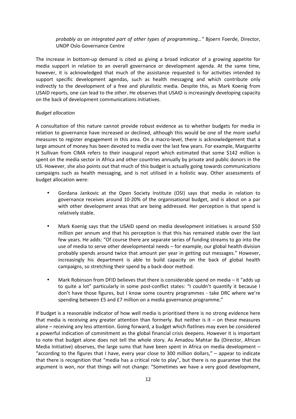*probably as an integrated part of other types of programming…"* Bjoern Foerde, Director, UNDP Oslo Governance Centre

The increase in bottom‐up demand is cited as giving a broad indicator of a growing appetite for media support in relation to an overall governance or development agenda. At the same time, however, it is acknowledged that much of the assistance requested is for activities intended to support specific development agendas, such as health messaging and which contribute only indirectly to the development of a free and pluralistic media. Despite this, as Mark Koenig from USAID reports, one can lead to the other. He observes that USAID is increasingly developing capacity on the back of development communications initiatives.

#### *Budget allocation*

A consultation of this nature cannot provide robust evidence as to whether budgets for media in relation to governance have increased or declined, although this would be one of the more useful measures to register engagement in this area. On a macro-level, there is acknowledgement that a large amount of money has been devoted to media over the last few years. For example, Marguerite H Sullivan from CIMA refers to their inaugural report which estimated that some \$142 million is spent on the media sector in Africa and other countries annually by private and public donors in the US. However, she also points out that much of this budget is actually going towards communications campaigns such as health messaging, and is not utilised in a holistic way. Other assessments of budget allocation were:

- Gordana Jankovic at the Open Society Institute (OSI) says that media in relation to governance receives around 10‐20% of the organisational budget, and is about on a par with other development areas that are being addressed. Her perception is that spend is relatively stable.
- Mark Koenig says that the USAID spend on media development initiatives is around \$50 million per annum and that his perception is that this has remained stable over the last few years. He adds: "Of course there are separate series of funding streams to go into the use of media to serve other developmental needs – for example, our global health division probably spends around twice that amount per year in getting out messages." However, increasingly his department is able to build capacity on the back of global health campaigns, so stretching their spend by a back‐door method.
- Mark Robinson from DFID believes that there is considerable spend on media  $-$  it "adds up to quite a lot" particularly in some post-conflict states: "I couldn't quantify it because I don't have those figures, but I know some country programmes - take DRC where we're spending between £5 and £7 million on a media governance programme."

If budget is a reasonable indicator of how well media is prioritised there is no strong evidence here that media is receiving any greater attention than formerly. But neither is it – on these measures alone – receiving any less attention. Going forward, a budget which flatlines may even be considered a powerful indication of commitment as the global financial crisis deepens. However it is important to note that budget alone does not tell the whole story. As Amadou Mahtar Ba (Director, African Media Initiative) observes, the large sums that have been spent in Africa on media development – "according to the figures that I have, every year close to 300 million dollars,"  $-$  appear to indicate that there is recognition that "media has a critical role to play", but there is no guarantee that the argument is won, nor that things will not change: "Sometimes we have a very good development,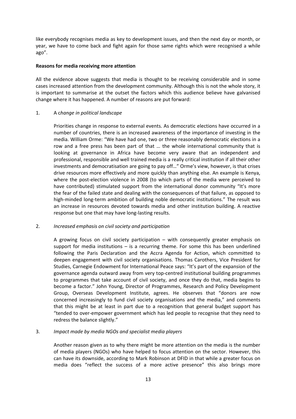like everybody recognises media as key to development issues, and then the next day or month, or year, we have to come back and fight again for those same rights which were recognised a while ago".

#### **Reasons for media receiving more attention**

All the evidence above suggests that media is thought to be receiving considerable and in some cases increased attention from the development community. Although this is not the whole story, it is important to summarise at the outset the factors which this audience believe have galvanised change where it has happened. A number of reasons are put forward:

#### 1. A c*hange in political landscape*

Priorities change in response to external events. As democratic elections have occurred in a number of countries, there is an increased awareness of the importance of investing in the media. William Orme: "We have had one, two or three reasonably democratic elections in a row and a free press has been part of that ... the whole international community that is looking at governance in Africa have become very aware that an independent and professional, responsible and well trained media is a really critical institution if all their other investments and democratisation are going to pay off…" Orme's view, however, is that crises drive resources more effectively and more quickly than anything else. An example is Kenya, where the post-election violence in 2008 (to which parts of the media were perceived to have contributed) stimulated support from the international donor community "It's more the fear of the failed state and dealing with the consequences of that failure, as opposed to high-minded long-term ambition of building noble democratic institutions." The result was an increase in resources devoted towards media and other institution building. A reactive response but one that may have long‐lasting results.

#### 2. *Increased emphasis on civil society and participation*

A growing focus on civil society participation  $-$  with consequently greater emphasis on support for media institutions  $-$  is a recurring theme. For some this has been underlined following the Paris Declaration and the Accra Agenda for Action, which committed to deepen engagement with civil society organisations. Thomas Carothers, Vice President for Studies, Carnegie Endowment for International Peace says: "It's part of the expansion of the governance agenda outward away from very top‐centred institutional building programmes to programmes that take account of civil society, and once they do that, media begins to become a factor." John Young, Director of Programmes, Research and Policy Development Group, Overseas Development Institute, agrees. He observes that "donors are now concerned increasingly to fund civil society organisations and the media," and comments that this might be at least in part due to a recognition that general budget support has "tended to over‐empower government which has led people to recognise that they need to redress the balance slightly."

#### 3. *Impact made by media NGOs and specialist media players*

Another reason given as to why there might be more attention on the media is the number of media players (NGOs) who have helped to focus attention on the sector. However, this can have its downside, according to Mark Robinson at DFID in that while a greater focus on media does "reflect the success of a more active presence" this also brings more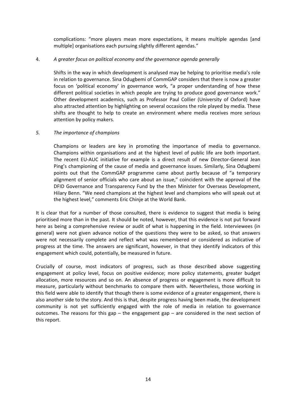complications: "more players mean more expectations, it means multiple agendas [and multiple] organisations each pursuing slightly different agendas."

#### 4. *A greater focus on political economy and the governance agenda generally*

Shifts in the way in which development is analysed may be helping to prioritise media's role in relation to governance. Sina Odugbemi of CommGAP considers that there is now a greater focus on 'political economy' in governance work, "a proper understanding of how these different political societies in which people are trying to produce good governance work." Other development academics, such as Professor Paul Collier (University of Oxford) have also attracted attention by highlighting on several occasions the role played by media. These shifts are thought to help to create an environment where media receives more serious attention by policy makers.

#### *5. The importance of champions*

Champions or leaders are key in promoting the importance of media to governance. Champions within organisations and at the highest level of public life are both important. The recent EU-AUC initiative for example is a direct result of new Director-General Jean Ping's championing of the cause of media and governance issues. Similarly, Sina Odugbemi points out that the CommGAP programme came about partly because of "a temporary alignment of senior officials who care about an issue," coincident with the approval of the DFID Governance and Transparency Fund by the then Minister for Overseas Development, Hilary Benn. "We need champions at the highest level and champions who will speak out at the highest level," comments Eric Chinje at the World Bank.

It is clear that for a number of those consulted, there is evidence to suggest that media is being prioritised more than in the past. It should be noted, however, that this evidence is not put forward here as being a comprehensive review or audit of what is happening in the field. Interviewees (in general) were not given advance notice of the questions they were to be asked, so that answers were not necessarily complete and reflect what was remembered or considered as indicative of progress at the time. The answers are significant, however, in that they identify indicators of this engagement which could, potentially, be measured in future.

Crucially of course, most indicators of progress, such as those described above suggesting engagement at policy level, focus on positive evidence; more policy statements, greater budget allocation, more resources and so on. An absence of progress or engagement is more difficult to measure, particularly without benchmarks to compare them with. Nevertheless, those working in this field were able to identify that though there is some evidence of a greater engagement, there is also another side to the story. And this is that, despite progress having been made, the development community is not yet sufficiently engaged with the role of media in relation to governance outcomes. The reasons for this gap – the engagement gap – are considered in the next section of this report.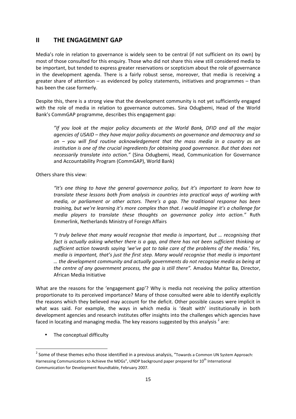#### **II THE ENGAGEMENT GAP**

Media's role in relation to governance is widely seen to be central (if not sufficient on its own) by most of those consulted for this enquiry. Those who did not share this view still considered media to be important, but tended to express greater reservations or scepticism about the role of governance in the development agenda. There is a fairly robust sense, moreover, that media is receiving a greater share of attention – as evidenced by policy statements, initiatives and programmes – than has been the case formerly.

Despite this, there is a strong view that the development community is not yet sufficiently engaged with the role of media in relation to governance outcomes. Sina Odugbemi, Head of the World Bank's CommGAP programme, describes this engagement gap:

*"If you look at the major policy documents at the World Bank, DFID and all the major agencies of USAID – they have major policy documents on governance and democracy and so on – you will find routine acknowledgement that the mass media in a country as an institution is one of the crucial ingredients for obtaining good governance. But that does not necessarily translate into action."*  (Sina Odugbemi, Head, Communication for Governance and Accountability Program (CommGAP), World Bank)

Others share this view:

*"It's one thing to have the general governance policy, but it's important to learn how to translate these lessons both from analysis in countries into practical ways of working with media, or parliament or other actors. There's a gap. The traditional response has been training, but we're learning it's more complex than that. I would imagine it's a challenge for media players to translate these thoughts on governance policy into action."* Ruth Emmerlink, Netherlands Ministry of Foreign Affairs

*"I truly believe that many would recognise that media is important, but … recognising that*  fact is actually asking whether there is a gap, and there has not been sufficient thinking or *sufficient action towards saying 'we've got to take care of the problems of the media.' Yes, media is important, that's just the first step. Many would recognise that media is important … the development community and actually governments do not recognise media as being at the centre of any government process, the gap is still there".* Amadou Mahtar Ba, Director, African Media Initiative

What are the reasons for the 'engagement gap'? Why is media not receiving the policy attention proportionate to its perceived importance? Many of those consulted were able to identify explicitly the reasons which they believed may account for the deficit. Other possible causes were implicit in what was said. For example, the ways in which media is 'dealt with' institutionally in both development agencies and research institutes offer insights into the challenges which agencies have faced in locating and managing media. The key reasons suggested by this analysis  $^2$  are:

The conceptual difficulty

**Example 2**<br><sup>2</sup> Some of these themes echo those identified in a previous analysis, "Towards a Common UN System Approach: Harnessing Communication to Achieve the MDGs", UNDP background paper prepared for 10<sup>th</sup> International Communication for Development Roundtable, February 2007.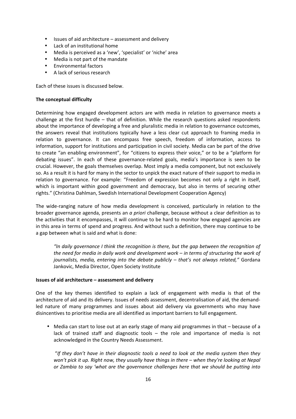- Issues of aid architecture assessment and delivery
- Lack of an institutional home
- Media is perceived as a 'new', 'specialist' or 'niche' area
- Media is not part of the mandate
- Environmental factors
- A lack of serious research

Each of these issues is discussed below.

#### **The conceptual difficulty**

Determining how engaged development actors are with media in relation to governance meets a challenge at the first hurdle - that of definition. While the research questions asked respondents about the importance of developing a free and pluralistic media in relation to governance outcomes, the answers reveal that institutions typically have a less clear cut approach to framing media in relation to governance. It can encompass free speech, freedom of information, access to information, support for institutions and participation in civil society. Media can be part of the drive to create "an enabling environment", for "citizens to express their voice," or to be a "platform for debating issues". In each of these governance‐related goals, media's importance is seen to be crucial. However, the goals themselves overlap. Most imply a media component, but not exclusively so. As a result it is hard for many in the sector to unpick the exact nature of their support to media in relation to governance. For example: "Freedom of expression becomes not only a right in itself, which is important within good government and democracy, but also in terms of securing other rights." (Christina Dahlman, Swedish International Development Cooperation Agency)

The wide-ranging nature of how media development is conceived, particularly in relation to the broader governance agenda, presents an *a priori* challenge, because without a clear definition as to the activities that it encompasses, it will continue to be hard to monitor how engaged agencies are in this area in terms of spend and progress. And without such a definition, there may continue to be a gap between what is said and what is done:

*"In daily governance I think the recognition is there, but the gap between the recognition of the need for media in daily work and development work – in terms of structuring the work of journalists, media, entering into the debate publicly – that's not always related,"* Gordana Jankovic, Media Director, Open Society Institute

#### **Issues of aid architecture – assessment and delivery**

One of the key themes identified to explain a lack of engagement with media is that of the architecture of aid and its delivery. Issues of needs assessment, decentralisation of aid, the demand‐ led nature of many programmes and issues about aid delivery via governments who may have disincentives to prioritise media are all identified as important barriers to full engagement.

• Media can start to lose out at an early stage of many aid programmes in that – because of a lack of trained staff and diagnostic tools  $-$  the role and importance of media is not acknowledged in the Country Needs Assessment.

 "*If they don't have in their diagnostic tools a need to look at the media system then they won't pick it up. Right now, they usually have things in there – when they're looking at Nepal or Zambia to say 'what are the governance challenges here that we should be putting into*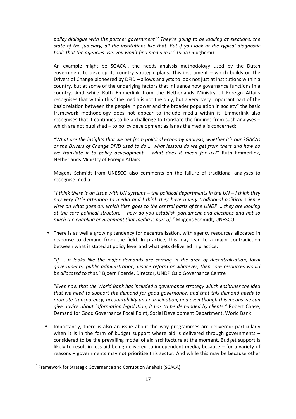*policy dialogue with the partner government?' They're going to be looking at elections, the state of the judiciary, all the institutions like that. But if you look at the typical diagnostic tools that the agencies use, you won't find media in it*." (Sina Odugbemi)

An example might be  $SGACA^3$ , the needs analysis methodology used by the Dutch government to develop its country strategic plans. This instrument – which builds on the Drivers of Change pioneered by DFID – allows analysts to look not just at institutions within a country, but at some of the underlying factors that influence how governance functions in a country. And while Ruth Emmerlink from the Netherlands Ministry of Foreign Affairs recognises that within this "the media is not the only, but a very, very important part of the basic relation between the people in power and the broader population in society" the basic framework methodology does not appear to include media within it. Emmerlink also recognises that it continues to be a challenge to translate the findings from such analyses – which are not published – to policy development as far as the media is concerned:

*"What are the insights that we get from political economy analysis, whether it's our SGACAs or the Drivers of Change DFID used to do … what lessons do we get from there and how do we translate it to policy development - what does it mean for us?"* Ruth Emmerlink, Netherlands Ministry of Foreign Affairs

Mogens Schmidt from UNESCO also comments on the failure of traditional analyses to recognise media:

*"I think there is an issue with UN systems – the political departments in the UN – I think they pay very little attention to media and I think they have a very traditional political science view on what goes on, which then goes to the central parts of the UNDP … they are looking at the core political structure – how do you establish parliament and elections and not so much the enabling environment that media is part of."* Mogens Schmidt, UNESCO

• There is as well a growing tendency for decentralisation, with agency resources allocated in response to demand from the field. In practice, this may lead to a major contradiction between what is stated at policy level and what gets delivered in practice:

*"If … it looks like the major demands are coming in the area of decentralisation, local governments, public administration, justice reform or whatever, then core resources would be allocated to that."* Bjoern Foerde, Director, UNDP Oslo Governance Centre

"*Even now that the World Bank has included a governance strategy which enshrines the idea that we need to support the demand for good governance, and that this demand needs to promote transparency, accountability and participation, and even though this means we can give advice about information legislation, it has to be demanded by clients."* Robert Chase, Demand for Good Governance Focal Point, Social Development Department, World Bank

• Importantly, there is also an issue about the way programmes are delivered; particularly when it is in the form of budget support where aid is delivered through governments  $$ considered to be the prevailing model of aid architecture at the moment. Budget support is likely to result in less aid being delivered to independent media, because – for a variety of reasons – governments may not prioritise this sector. And while this may be because other

 <sup>3</sup> Framework for Strategic Governance and Corruption Analysis (SGACA)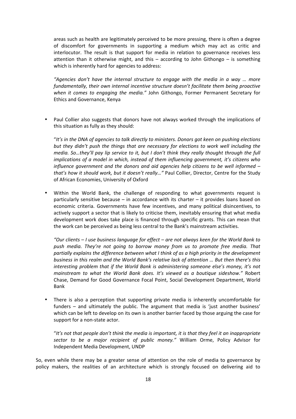areas such as health are legitimately perceived to be more pressing, there is often a degree of discomfort for governments in supporting a medium which may act as critic and interlocutor. The result is that support for media in relation to governance receives less attention than it otherwise might, and this  $-$  according to John Githongo  $-$  is something which is inherently hard for agencies to address:

*"Agencies don't have the internal structure to engage with the media in a way … more fundamentally, their own internal incentive structure doesn't facilitate them being proactive*  when it comes to engaging the media." John Githongo, Former Permanent Secretary for Ethics and Governance, Kenya

• Paul Collier also suggests that donors have not always worked through the implications of this situation as fully as they should:

"*It's in the DNA of agencies to talk directly to ministers. Donors got keen on pushing elections but they didn't push the things that are necessary for elections to work well including the media. So…they'll pay lip service to it, but I don't think they really thought through the full implications of a model in which, instead of them influencing government, it's citizens who influence government and the donors and aid agencies help citizens to be well informed – that's how it should work, but it doesn't really…"* Paul Collier, Director, Centre for the Study of African Economies, University of Oxford

Within the World Bank, the challenge of responding to what governments request is particularly sensitive because – in accordance with its charter – it provides loans based on economic criteria. Governments have few incentives, and many political disincentives, to actively support a sector that is likely to criticise them, inevitably ensuring that what media development work does take place is financed through specific grants. This can mean that the work can be perceived as being less central to the Bank's mainstream activities.

*"Our clients – I use business language for effect – are not always keen for the World Bank to push media. They're not going to borrow money from us to promote free media. That partially explains the difference between what I think of as a high priority in the development business in this realm and the World Bank's relative lack of attention … But then there's this interesting problem that if the World Bank is administering someone else's money, it's not mainstream to what the World Bank does. It's viewed as a boutique sideshow."*  Robert Chase, Demand for Good Governance Focal Point, Social Development Department, World Bank

• There is also a perception that supporting private media is inherently uncomfortable for funders – and ultimately the public. The argument that media is 'just another business' which can be left to develop on its own is another barrier faced by those arguing the case for support for a non‐state actor.

"*It's not that people don't think the media is important, it is that they feel it an inappropriate sector to be a major recipient of public money."* William Orme, Policy Advisor for Independent Media Development, UNDP

So, even while there may be a greater sense of attention on the role of media to governance by policy makers, the realities of an architecture which is strongly focused on delivering aid to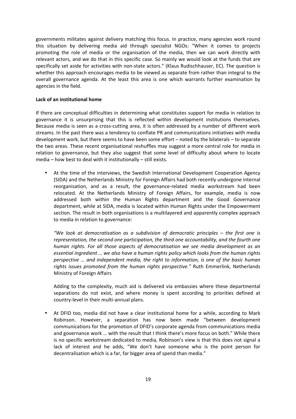governments militates against delivery matching this focus. In practice, many agencies work round this situation by delivering media aid through specialist NGOs: "When it comes to projects promoting the role of media or the organisation of the media, then we can work directly with relevant actors, and we do that in this specific case. So mainly we would look at the funds that are specifically set aside for activities with non-state actors." (Klaus Rudischhauser, EC). The question is whether this approach encourages media to be viewed as separate from rather than integral to the overall governance agenda. At the least this area is one which warrants further examination by agencies in the field.

#### **Lack of an institutional home**

If there are conceptual difficulties in determining what constitutes support for media in relation to governance it is unsurprising that this is reflected within development institutions themselves. Because media is seen as a cross-cutting area, it is often addressed by a number of different work streams. In the past there was a tendency to conflate PR and communications initiatives with media development work, but there seems to have been some effort – noted by the bilaterals – to separate the two areas. These recent organisational reshuffles may suggest a more central role for media in relation to governance, but they also suggest that some level of difficulty about where to locate media – how best to deal with it institutionally – still exists.

• At the time of the interviews, the Swedish International Development Cooperation Agency (SIDA) and the Netherlands Ministry for Foreign Affairs had both recently undergone internal reorganisation, and as a result, the governance-related media workstream had been relocated. At the Netherlands Ministry of Foreign Affairs, for example, media is now addressed both within the Human Rights department and the Good Governance department, while at SIDA, media is located within Human Rights under the Empowerment section. The result in both organisations is a multilayered and apparently complex approach to media in relation to governance:

*"We look at democratisation as a subdivision of democratic principles – the first one is representation, the second one participation, the third one accountability, and the fourth one human rights. For all those aspects of democratisation we see media development as an essential ingredient … we also have a human rights policy which looks from the human rights perspective … and independent media, the right to information, is one of the basic human rights issues promoted from the human rights perspective."*  Ruth Emmerlink, Netherlands Ministry of Foreign Affairs

Adding to the complexity, much aid is delivered via embassies where these departmental separations do not exist, and where money is spent according to priorities defined at country‐level in their multi‐annual plans.

At DFID too, media did not have a clear institutional home for a while, according to Mark Robinson. However, a separation has now been made "between development communications for the promotion of DFID's corporate agenda from communications media and governance work … with the result that I think there's more focus on both." While there is no specific workstream dedicated to media, Robinson's view is that this does not signal a lack of interest and he adds, "We don't have someone who is the point person for decentralisation which is a far, far bigger area of spend than media."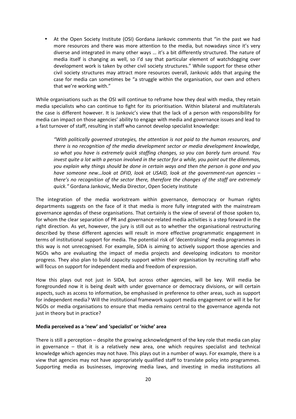• At the Open Society Institute (OSI) Gordana Jankovic comments that "in the past we had more resources and there was more attention to the media, but nowadays since it's very diverse and integrated in many other ways … it's a bit differently structured. The nature of media itself is changing as well, so I'd say that particular element of watchdogging over development work is taken by other civil society structures." While support for these other civil society structures may attract more resources overall, Jankovic adds that arguing the case for media can sometimes be "a struggle within the organisation, our own and others that we're working with."

While organisations such as the OSI will continue to reframe how they deal with media, they retain media specialists who can continue to fight for its prioritisation. Within bilateral and multilaterals the case is different however. It is Jankovic's view that the lack of a person with responsibility for media can impact on those agencies' ability to engage with media and governance issues and lead to a fast turnover of staff, resulting in staff who cannot develop specialist knowledge:

*"With politically governed strategies, the attention is not paid to the human resources, and there is no recognition of the media development sector or media development knowledge, so what you have is extremely quick staffing changes, so you can barely turn around. You invest quite a lot with a person involved in the sector for a while, you point out the dilemmas, you explain why things should be done in certain ways and then the person is gone and you have someone new…look at DFID, look at USAID, look at the government‐run agencies – there's no recognition of the sector there, therefore the changes of the staff are extremely quick."* Gordana Jankovic, Media Director, Open Society Institute

The integration of the media workstream within governance, democracy or human rights departments suggests on the face of it that media is more fully integrated with the mainstream governance agendas of these organisations. That certainly is the view of several of those spoken to, for whom the clear separation of PR and governance-related media activities is a step forward in the right direction. As yet, however, the jury is still out as to whether the organisational restructuring described by these different agencies will result in more effective programmatic engagement in terms of institutional support for media. The potential risk of 'decentralising' media programmes in this way is not unrecognised. For example, SIDA is aiming to actively support those agencies and NGOs who are evaluating the impact of media projects and developing indicators to monitor progress. They also plan to build capacity support within their organisation by recruiting staff who will focus on support for independent media and freedom of expression.

How this plays out not just in SIDA, but across other agencies, will be key. Will media be foregrounded now it is being dealt with under governance or democracy divisions, or will certain aspects, such as access to information, be emphasised in preference to other areas, such as support for independent media? Will the institutional framework support media engagement or will it be for NGOs or media organisations to ensure that media remains central to the governance agenda not just in theory but in practice?

#### **Media perceived as a 'new' and 'specialist' or 'niche' area**

There is still a perception – despite the growing acknowledgment of the key role that media can play in governance – that it is a relatively new area, one which requires specialist and technical knowledge which agencies may not have. This plays out in a number of ways. For example, there is a view that agencies may not have appropriately qualified staff to translate policy into programmes. Supporting media as businesses, improving media laws, and investing in media institutions all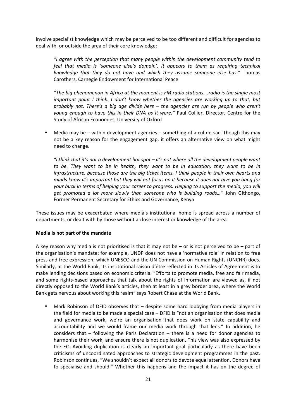involve specialist knowledge which may be perceived to be too different and difficult for agencies to deal with, or outside the area of their core knowledge:

*"I agree with the perception that many people within the development community tend to feel that media is 'someone else's domain'. It appears to them as requiring technical knowledge that they do not have and which they assume someone else has."*  Thomas Carothers, Carnegie Endowment for International Peace

*"The big phenomenon in Africa at the moment is FM radio stations….radio is the single most important point I think. I don't know whether the agencies are working up to that, but probably not. There's a big age divide here – the agencies are run by people who aren't young enough to have this in their DNA as it were."* Paul Collier, Director, Centre for the Study of African Economies, University of Oxford

• Media may be – within development agencies – something of a cul‐de‐sac. Though this may not be a key reason for the engagement gap, it offers an alternative view on what might need to change.

*"I think that it's not a development hot spot – it's not where all the development people want to be. They want to be in health, they want to be in education, they want to be in infrastructure, because those are the big ticket items. I think people in their own hearts and minds know it's important but they will not focus on it because it does not give you bang for your buck in terms of helping your career to progress. Helping to support the media, you will get promoted a lot more slowly than someone who is building roads…"* John Githongo, Former Permanent Secretary for Ethics and Governance, Kenya

These issues may be exacerbated where media's institutional home is spread across a number of departments, or dealt with by those without a close interest or knowledge of the area.

#### **Media is not part of the mandate**

A key reason why media is not prioritised is that it may not be  $-$  or is not perceived to be  $-$  part of the organisation's mandate; for example, UNDP does not have a 'normative role' in relation to free press and free expression, which UNESCO and the UN Commission on Human Rights (UNCHR) does. Similarly, at the World Bank, its institutional raison d'être reflected in its Articles of Agreement is to make lending decisions based on economic criteria. "Efforts to promote media, free and fair media, and some rights-based approaches that talk about the rights of information are viewed as, if not directly opposed to the World Bank's articles, then at least in a grey border area, where the World Bank gets nervous about working this realm" says Robert Chase at the World Bank.

• Mark Robinson of DFID observes that – despite some hard lobbying from media players in the field for media to be made a special case – DFID is "not an organisation that does media and governance work, we're an organisation that does work on state capability and accountability and we would frame our media work through that lens." In addition, he considers that  $-$  following the Paris Declaration  $-$  there is a need for donor agencies to harmonise their work, and ensure there is not duplication. This view was also expressed by the EC. Avoiding duplication is clearly an important goal particularly as there have been criticisms of uncoordinated approaches to strategic development programmes in the past. Robinson continues, "We shouldn't expect all donors to devote equal attention. Donors have to specialise and should." Whether this happens and the impact it has on the degree of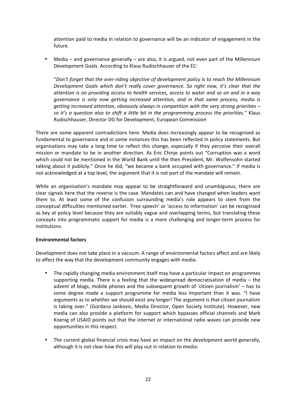attention paid to media in relation to governance will be an indicator of engagement in the future.

• Media – and governance generally – are also, it is argued, not even part of the Millennium Development Goals. According to Klaus Rudischhauser of the EC:

"*Don't forget that the over‐riding objective of development policy is to reach the Millennium Development Goals which don't really cover governance. So right now, it's clear that the attention is on providing access to health services, access to water and so on and in a way governance is only now getting increased attention, and in that same process, media is getting increased attention, obviously always in competition with the very strong priorities – so it's a question also to shift a little bit in the programming process the priorities."* Klaus Rudischhauser, Director DG for Development, European Commission

There are some apparent contradictions here. Media does increasingly appear to be recognised as fundamental to governance and in some instances this has been reflected in policy statements. But organisations may take a long time to reflect this change, especially if they perceive their overall mission or mandate to be in another direction. As Eric Chinje points out "Corruption was a word which could not be mentioned in the World Bank until the then President, Mr. Wolfensohn started talking about it publicly." Once he did, "we became a bank occupied with governance." If media is not acknowledged at a top level, the argument that it is not part of the mandate will remain.

While an organisation's mandate may appear to be straightforward and unambiguous, there are clear signals here that the reverse is the case. Mandates can and have changed when leaders want them to. At least some of the confusion surrounding media's role appears to stem from the conceptual difficulties mentioned earlier. 'Free speech' or 'access to information' can be recognised as key at policy level because they are suitably vague and overlapping terms, but translating these concepts into programmatic support for media is a more challenging and longer-term process for institutions.

#### **Environmental factors**

Development does not take place in a vacuum. A range of environmental factors affect and are likely to affect the way that the development community engages with media.

- The rapidly changing media environment itself may have a particular impact on programmes supporting media. There is a feeling that the widespread democratisation of media  $-$  the advent of blogs, mobile phones and the subsequent growth of 'citizen journalism' – has to some degree made a support programme for media less important than it was. "I have arguments as to whether we should exist any longer! The argument is that citizen journalism is taking over." (Gordana Jankovic, Media Director, Open Society Institute). However, new media can also provide a platform for support which bypasses official channels and Mark Koenig of USAID points out that the internet or international radio waves can provide new opportunities in this respect.
- The current global financial crisis may have an impact on the development world generally, although it is not clear how this will play out in relation to media: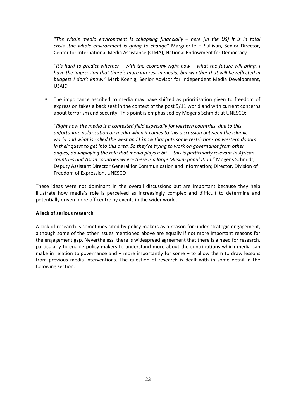"*The whole media environment is collapsing financially – here [in the US] it is in total crisis…the whole environment is going to change"*  Marguerite H Sullivan, Senior Director, Center for International Media Assistance (CIMA), National Endowment for Democracy

*"It's hard to predict whether – with the economy right now – what the future will bring. I have the impression that there's more interest in media, but whether that will be reflected in budgets I don't know.*" Mark Koenig, Senior Advisor for Independent Media Development, USAID

The importance ascribed to media may have shifted as prioritisation given to freedom of expression takes a back seat in the context of the post 9/11 world and with current concerns about terrorism and security. This point is emphasised by Mogens Schmidt at UNESCO:

*"Right now the media is a contested field especially for western countries, due to this unfortunate polarisation on media when it comes to this discussion between the Islamic world and what is called the west and I know that puts some restrictions on western donors in their quest to get into this area. So they're trying to work on governance from other angles, downplaying the role that media plays a bit … this is particularly relevant in African countries and Asian countries where there is a large Muslim population."* Mogens Schmidt, Deputy Assistant Director General for Communication and Information; Director, Division of Freedom of Expression, UNESCO

These ideas were not dominant in the overall discussions but are important because they help illustrate how media's role is perceived as increasingly complex and difficult to determine and potentially driven more off centre by events in the wider world.

#### **A lack of serious research**

A lack of research is sometimes cited by policy makers as a reason for under‐strategic engagement, although some of the other issues mentioned above are equally if not more important reasons for the engagement gap. Nevertheless, there is widespread agreement that there is a need for research, particularly to enable policy makers to understand more about the contributions which media can make in relation to governance and  $-$  more importantly for some  $-$  to allow them to draw lessons from previous media interventions. The question of research is dealt with in some detail in the following section.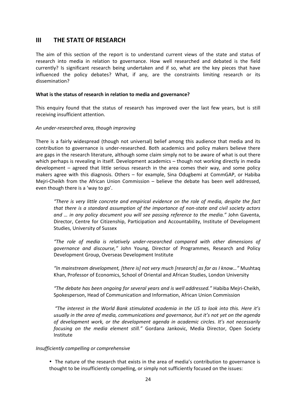#### **III THE STATE OF RESEARCH**

The aim of this section of the report is to understand current views of the state and status of research into media in relation to governance. How well researched and debated is the field currently? Is significant research being undertaken and if so, what are the key pieces that have influenced the policy debates? What, if any, are the constraints limiting research or its dissemination?

#### **What is the status of research in relation to media and governance?**

This enquiry found that the status of research has improved over the last few years, but is still receiving insufficient attention.

#### *An under‐researched area, though improving*

There is a fairly widespread (though not universal) belief among this audience that media and its contribution to governance is under‐researched. Both academics and policy makers believe there are gaps in the research literature, although some claim simply not to be aware of what is out there which perhaps is revealing in itself. Development academics – though not working directly in media development – agreed that little serious research in the area comes their way, and some policy makers agree with this diagnosis. Others – for example, Sina Odugbemi at CommGAP, or Habiba Mejri-Cheikh from the African Union Commission – believe the debate has been well addressed, even though there is a 'way to go'.

*"There is very little concrete and empirical evidence on the role of media, despite the fact that there is a standard assumption of the importance of non‐state and civil society actors and … in any policy document you will see passing reference to the media."* John Gaventa, Director, Centre for Citizenship, Participation and Accountability, Institute of Development Studies, University of Sussex

*"The role of media is relatively under‐researched compared with other dimensions of governance and discourse,"*  John Young, Director of Programmes, Research and Policy Development Group, Overseas Development Institute

*"In mainstream development, [there is] not very much [research] as far as I know…"* Mushtaq Khan, Professor of Economics, School of Oriental and African Studies, London University

*"The debate has been ongoing for several years and is well addressed."* Habiba Mejri‐Cheikh, Spokesperson, Head of Communication and Information, African Union Commission

*"The interest in the World Bank stimulated academia in the US to look into this. Here it's usually in the area of media, communications and governance, but it's not yet on the agenda of development work, or the development agenda in academic circles. It's not necessarily focusing on the media element still."* Gordana Jankovic, Media Director, Open Society Institute

#### *Insufficiently compelling or comprehensive*

• The nature of the research that exists in the area of media's contribution to governance is thought to be insufficiently compelling, or simply not sufficiently focused on the issues: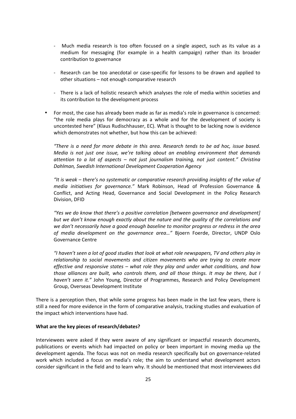- ‐ Much media research is too often focused on a single aspect, such as its value as a medium for messaging (for example in a health campaign) rather than its broader contribution to governance
- Research can be too anecdotal or case-specific for lessons to be drawn and applied to other situations – not enough comparative research
- ‐ There is a lack of holistic research which analyses the role of media within societies and its contribution to the development process
- For most, the case has already been made as far as media's role in governance is concerned: "the role media plays for democracy as a whole and for the development of society is uncontested here" (Klaus Rudischhauser, EC). What is thought to be lacking now is evidence which demonstrates not whether, but how this can be achieved:

*"There is a need for more debate in this area. Research tends to be ad hoc, issue based. Media is not just one issue, we're talking about an enabling environment that demands attention to a lot of aspects – not just journalism training, not just content." Christina Dahlman, Swedish International Development Cooperation Agency*

*"It is weak – there's no systematic or comparative research providing insights of the value of media initiatives for governance."* Mark Robinson, Head of Profession Governance & Conflict, and Acting Head, Governance and Social Development in the Policy Research Division, DFID

*"Yes we do know that there's a positive correlation [between governance and development] but we don't know enough exactly about the nature and the quality of the correlations and we don't necessarily have a good enough baseline to monitor progress or redress in the area*  of media development on the governance area..." Bjoern Foerde, Director, UNDP Oslo Governance Centre

*"I haven't seen a lot of good studies that look at what role newspapers, TV and others play in relationship to social movements and citizen movements who are trying to create more effective and responsive states – what role they play and under what conditions, and how those alliances are built, who controls them, and all those things. It may be there, but I haven't seen it."*  John Young, Director of Programmes, Research and Policy Development Group, Overseas Development Institute

There is a perception then, that while some progress has been made in the last few years, there is still a need for more evidence in the form of comparative analysis, tracking studies and evaluation of the impact which interventions have had.

#### **What are the key pieces of research/debates?**

Interviewees were asked if they were aware of any significant or impactful research documents, publications or events which had impacted on policy or been important in moving media up the development agenda. The focus was not on media research specifically but on governance‐related work which included a focus on media's role; the aim to understand what development actors consider significant in the field and to learn why. It should be mentioned that most interviewees did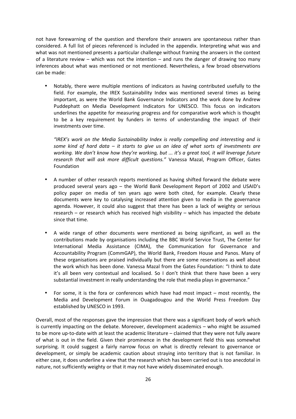not have forewarning of the question and therefore their answers are spontaneous rather than considered. A full list of pieces referenced is included in the appendix. Interpreting what was and what was not mentioned presents a particular challenge without framing the answers in the context of a literature review – which was not the intention – and runs the danger of drawing too many inferences about what was mentioned or not mentioned. Nevertheless, a few broad observations can be made:

• Notably, there were multiple mentions of indicators as having contributed usefully to the field. For example, the IREX Sustainability Index was mentioned several times as being important, as were the World Bank Governance Indicators and the work done by Andrew Puddephatt on Media Development Indicators for UNESCO. This focus on indicators underlines the appetite for measuring progress and for comparative work which is thought to be a key requirement by funders in terms of understanding the impact of their investments over time.

*"IREX's work on the Media Sustainability Index is really compelling and interesting and is some kind of hard data – it starts to give us an idea of what sorts of investments are working. We don't know how they're working, but ... it's a great tool, it will leverage future*  research that will ask more difficult questions." Vanessa Mazal, Program Officer, Gates Foundation

- A number of other research reports mentioned as having shifted forward the debate were produced several years ago – the World Bank Development Report of 2002 and USAID's policy paper on media of ten years ago were both cited, for example. Clearly these documents were key to catalysing increased attention given to media in the governance agenda. However, it could also suggest that there has been a lack of weighty or serious research – or research which has received high visibility – which has impacted the debate since that time.
- A wide range of other documents were mentioned as being significant, as well as the contributions made by organisations including the BBC World Service Trust, The Center for International Media Assistance (CIMA), the Communication for Governance and Accountability Program (CommGAP), the World Bank, Freedom House and Panos. Many of these organisations are praised individually but there are some reservations as well about the work which has been done. Vanessa Mazal from the Gates Foundation: "I think to date it's all been very contextual and localised. So I don't think that there have been a very substantial investment in really understanding the role that media plays in governance."
- For some, it is the fora or conferences which have had most impact most recently, the Media and Development Forum in Ouagadougou and the World Press Freedom Day established by UNESCO in 1993.

Overall, most of the responses gave the impression that there was a significant body of work which is currently impacting on the debate. Moreover, development academics – who might be assumed to be more up-to-date with at least the academic literature – claimed that they were not fully aware of what is out in the field. Given their prominence in the development field this was somewhat surprising. It could suggest a fairly narrow focus on what is directly relevant to governance or development, or simply be academic caution about straying into territory that is not familiar. In either case, it does underline a view that the research which has been carried out is too anecdotal in nature, not sufficiently weighty or that it may not have widely disseminated enough.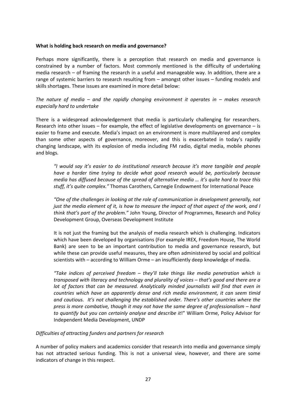#### **What is holding back research on media and governance?**

Perhaps more significantly, there is a perception that research on media and governance is constrained by a number of factors. Most commonly mentioned is the difficulty of undertaking media research – of framing the research in a useful and manageable way. In addition, there are a range of systemic barriers to research resulting from – amongst other issues – funding models and skills shortages. These issues are examined in more detail below:

*The nature of media – and the rapidly changing environment it operates in – makes research especially hard to undertake*

There is a widespread acknowledgement that media is particularly challenging for researchers. Research into other issues – for example, the effect of legislative developments on governance – is easier to frame and execute. Media's impact on an environment is more multilayered and complex than some other aspects of governance, moreover, and this is exacerbated in today's rapidly changing landscape, with its explosion of media including FM radio, digital media, mobile phones and blogs.

*"I would say it's easier to do institutional research because it's more tangible and people have a harder time trying to decide what good research would be, particularly because media has diffused because of the spread of alternative media … it's quite hard to trace this stuff, it's quite complex."* Thomas Carothers, Carnegie Endowment for International Peace

*"One of the challenges in looking at the role of communication in development generally, not just the media element of it, is how to measure the impact of that aspect of the work, and I think that's part of the problem."* John Young, Director of Programmes, Research and Policy Development Group, Overseas Development Institute

It is not just the framing but the analysis of media research which is challenging. Indicators which have been developed by organisations (For example IREX, Freedom House, The World Bank) are seen to be an important contribution to media and governance research, but while these can provide useful measures, they are often administered by social and political scientists with – according to William Orme – an insufficiently deep knowledge of media.

*"Take indices of perceived freedom – they'll take things like media penetration which is transposed with literacy and technology and plurality of voices – that's good and there are a lot of factors that can be measured. Analytically minded journalists will find that even in countries which have an apparently dense and rich media environment, it can seem timid and cautious. It's not challenging the established order. There's other countries where the press is more combative, though it may not have the same degree of professionalism – hard to quantify but you can certainly analyse and describe it*!" William Orme, Policy Advisor for Independent Media Development, UNDP

#### *Difficulties of attracting funders and partners for research*

A number of policy makers and academics consider that research into media and governance simply has not attracted serious funding. This is not a universal view, however, and there are some indicators of change in this respect.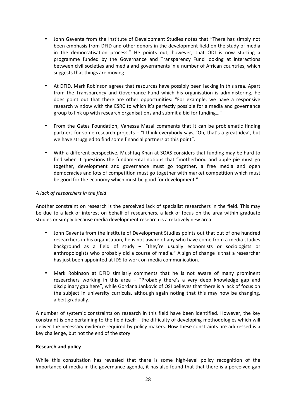- John Gaventa from the Institute of Development Studies notes that "There has simply not been emphasis from DFID and other donors in the development field on the study of media in the democratisation process." He points out, however, that ODI is now starting a programme funded by the Governance and Transparency Fund looking at interactions between civil societies and media and governments in a number of African countries, which suggests that things are moving.
- At DFID, Mark Robinson agrees that resources have possibly been lacking in this area. Apart from the Transparency and Governance Fund which his organisation is administering, he does point out that there are other opportunities: "For example, we have a responsive research window with the ESRC to which it's perfectly possible for a media and governance group to link up with research organisations and submit a bid for funding…"
- From the Gates Foundation, Vanessa Mazal comments that it can be problematic finding partners for some research projects – "I think everybody says, 'Oh, that's a great idea', but we have struggled to find some financial partners at this point".
- With a different perspective, Mushtaq Khan at SOAS considers that funding may be hard to find when it questions the fundamental notions that "motherhood and apple pie must go together, development and governance must go together, a free media and open democracies and lots of competition must go together with market competition which must be good for the economy which must be good for development."

#### *A lack of researchers in the field*

Another constraint on research is the perceived lack of specialist researchers in the field. This may be due to a lack of interest on behalf of researchers, a lack of focus on the area within graduate studies or simply because media development research is a relatively new area.

- John Gaventa from the Institute of Development Studies points out that out of one hundred researchers in his organisation, he is not aware of any who have come from a media studies background as a field of study – "they're usually economists or sociologists or anthropologists who probably did a course of media." A sign of change is that a researcher has just been appointed at IDS to work on media communication.
- Mark Robinson at DFID similarly comments that he is not aware of many prominent researchers working in this area - "Probably there's a very deep knowledge gap and disciplinary gap here", while Gordana Jankovic of OSI believes that there is a lack of focus on the subject in university curricula, although again noting that this may now be changing, albeit gradually.

A number of systemic constraints on research in this field have been identified. However, the key constraint is one pertaining to the field itself – the difficulty of developing methodologies which will deliver the necessary evidence required by policy makers. How these constraints are addressed is a key challenge, but not the end of the story.

#### **Research and policy**

While this consultation has revealed that there is some high-level policy recognition of the importance of media in the governance agenda, it has also found that that there is a perceived gap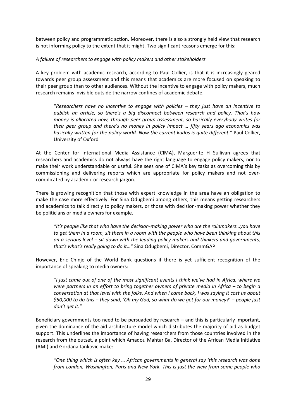between policy and programmatic action. Moreover, there is also a strongly held view that research is not informing policy to the extent that it might. Two significant reasons emerge for this:

#### *A failure of researchers to engage with policy makers and other stakeholders*

A key problem with academic research, according to Paul Collier, is that it is increasingly geared towards peer group assessment and this means that academics are more focused on speaking to their peer group than to other audiences. Without the incentive to engage with policy makers, much research remains invisible outside the narrow confines of academic debate.

"*Researchers have no incentive to engage with policies – they just have an incentive to publish an article, so there's a big disconnect between research and policy. That's how money is allocated now, through peer group assessment, so basically everybody writes for their peer group and there's no money in policy impact … fifty years ago economics was basically written for the policy world. Now the current kudos is quite different."* Paul Collier, University of Oxford

At the Center for International Media Assistance (CIMA), Marguerite H Sullivan agrees that researchers and academics do not always have the right language to engage policy makers, nor to make their work understandable or useful. She sees one of CIMA's key tasks as overcoming this by commissioning and delivering reports which are appropriate for policy makers and not over‐ complicated by academic or research jargon.

There is growing recognition that those with expert knowledge in the area have an obligation to make the case more effectively. For Sina Odugbemi among others, this means getting researchers and academics to talk directly to policy makers, or those with decision-making power whether they be politicians or media owners for example.

*"It's people like that who have the decision‐making power who are the rainmakers…you have to get them in a room, sit them in a room with the people who have been thinking about this on a serious level – sit down with the leading policy makers and thinkers and governments, that's what's really going to do it…"* Sina Odugbemi, Director, CommGAP

However, Eric Chinje of the World Bank questions if there is yet sufficient recognition of the importance of speaking to media owners:

*"I just came out of one of the most significant events I think we've had in Africa, where we were partners in an effort to bring together owners of private media in Africa – to begin a conversation at that level with the folks. And when I came back, I was saying it cost us about \$50,000 to do this – they said, 'Oh my God, so what do we get for our money?' – people just don't get it."*

Beneficiary governments too need to be persuaded by research – and this is particularly important, given the dominance of the aid architecture model which distributes the majority of aid as budget support. This underlines the importance of having researchers from those countries involved in the research from the outset, a point which Amadou Mahtar Ba, Director of the African Media Initiative (AMI) and Gordana Jankovic make:

*"One thing which is often key … African governments in general say 'this research was done from London, Washington, Paris and New York. This is just the view from some people who*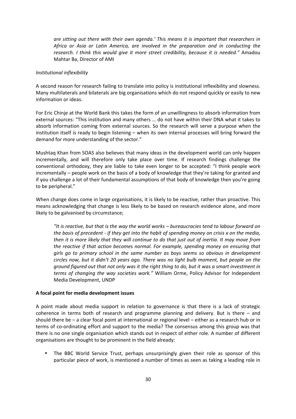*are sitting out there with their own agenda.' This means it is important that researchers in Africa or Asia or Latin America, are involved in the preparation and in conducting the research. I think this would give it more street credibility, because it is needed."* Amadou Mahtar Ba, Director of AMI

#### *Institutional inflexibility*

A second reason for research failing to translate into policy is institutional inflexibility and slowness. Many multilaterals and bilaterals are big organisations which do not respond quickly or easily to new information or ideas.

For Eric Chinje at the World Bank this takes the form of an unwillingness to absorb information from external sources: "This institution and many others … do not have within their DNA what it takes to absorb information coming from external sources. So the research will serve a purpose when the institution itself is ready to begin listening – when its own internal processes will bring forward the demand for more understanding of the sector."

Mushtaq Khan from SOAS also believes that many ideas in the development world can only happen incrementally, and will therefore only take place over time. If research findings challenge the conventional orthodoxy, they are liable to take even longer to be accepted: "I think people work incrementally – people work on the basis of a body of knowledge that they're taking for granted and if you challenge a lot of their fundamental assumptions of that body of knowledge then you're going to be peripheral."

When change does come in large organisations, it is likely to be reactive, rather than proactive. This means acknowledging that change is less likely to be based on research evidence alone, and more likely to be galvanised by circumstance;

*"It is reactive, but that is the way the world works – bureaucracies tend to labour forward on the basis of precedent ‐ if they get into the habit of spending money on crisis x on the media, then it is more likely that they will continue to do that just out of inertia. It may move from the reactive if that action becomes normal. For example, spending money on ensuring that girls go to primary school in the same number as boys seems so obvious in development circles now, but it didn't 20 years ago. There was no light bulb moment, but people on the ground figured out that not only was it the right thing to do, but it was a smart investment in terms of changing the way societies work."* William Orme, Policy Advisor for Independent Media Development, UNDP

#### **A focal point for media development issues**

A point made about media support in relation to governance is that there is a lack of strategic coherence in terms both of research and programme planning and delivery. But is there  $-$  and should there be – a clear focal point at international or regional level – either as a research hub or in terms of co-ordinating effort and support to the media? The consensus among this group was that there is no one single organisation which stands out in respect of either role. A number of different organisations are thought to be prominent in the field already:

The BBC World Service Trust, perhaps unsurprisingly given their role as sponsor of this particular piece of work, is mentioned a number of times as seen as taking a leading role in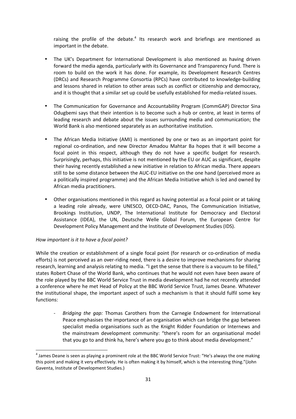raising the profile of the debate. $4$  Its research work and briefings are mentioned as important in the debate.

- The UK's Department for International Development is also mentioned as having driven forward the media agenda, particularly with its Governance and Transparency Fund. There is room to build on the work it has done. For example, its Development Research Centres (DRCs) and Research Programme Consortia (RPCs) have contributed to knowledge‐building and lessons shared in relation to other areas such as conflict or citizenship and democracy, and it is thought that a similar set up could be usefully established for media-related issues.
- The Communication for Governance and Accountability Program (CommGAP) Director Sina Odugbemi says that their intention is to become such a hub or centre, at least in terms of leading research and debate about the issues surrounding media and communication; the World Bank is also mentioned separately as an authoritative institution.
- The African Media Initiative (AMI) is mentioned by one or two as an important point for regional co-ordination, and new Director Amadou Mahtar Ba hopes that it will become a focal point in this respect, although they do not have a specific budget for research. Surprisingly, perhaps, this initiative is not mentioned by the EU or AUC as significant, despite their having recently established a new initiative in relation to African media. There appears still to be some distance between the AUC‐EU initiative on the one hand (perceived more as a politically inspired programme) and the African Media Initiative which is led and owned by African media practitioners.
- Other organisations mentioned in this regard as having potential as a focal point or at taking a leading role already, were UNESCO, OECD‐DAC, Panos, The Communication Initiative, Brookings Institution, UNDP, The International Institute for Democracy and Electoral Assistance (IDEA), the UN, Deutsche Welle Global Forum, the European Centre for Development Policy Management and the Institute of Development Studies (IDS).

#### *How important is it to have a focal point?*

<u> 1989 - Johann Stein, mars et al. 1989 - Anna ann an t-Anna ann an t-Anna ann an t-Anna ann an t-Anna ann an t-</u>

While the creation or establishment of a single focal point (for research or co-ordination of media efforts) is not perceived as an over-riding need, there is a desire to improve mechanisms for sharing research, learning and analysis relating to media. "I get the sense that there is a vacuum to be filled," states Robert Chase of the World Bank, who continues that he would not even have been aware of the role played by the BBC World Service Trust in media development had he not recently attended a conference where he met Head of Policy at the BBC World Service Trust, James Deane. Whatever the institutional shape, the important aspect of such a mechanism is that it should fulfil some key functions:

‐ *Bridging the gap:* Thomas Carothers from the Carnegie Endowment for International Peace emphasises the importance of an organisation which can bridge the gap between specialist media organisations such as the Knight Ridder Foundation or Internews and the mainstream development community: "there's room for an organisational model that you go to and think ha, here's where you go to think about media development."

<sup>&</sup>lt;sup>4</sup> James Deane is seen as playing a prominent role at the BBC World Service Trust: "He's always the one making this point and making it very effectively. He is often making it by himself, which is the interesting thing."(John Gaventa, Institute of Development Studies.)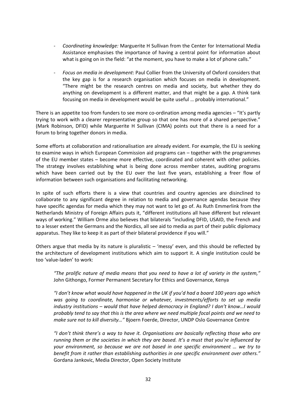- ‐ *Coordinating knowledge:* Marguerite H Sullivan from the Center for International Media Assistance emphasises the importance of having a central point for information about what is going on in the field: "at the moment, you have to make a lot of phone calls."
- ‐ *Focus on media in development*: Paul Collier from the University of Oxford considers that the key gap is for a research organisation which focuses on media in development. "There might be the research centres on media and society, but whether they do anything on development is a different matter, and that might be a gap. A think tank focusing on media in development would be quite useful … probably international."

There is an appetite too from funders to see more co-ordination among media agencies  $-$  "It's partly trying to work with a clearer representative group so that one has more of a shared perspective." (Mark Robinson, DFID) while Marguerite H Sullivan (CIMA) points out that there is a need for a forum to bring together donors in media.

Some efforts at collaboration and rationalisation are already evident. For example, the EU is seeking to examine ways in which European Commission aid programs can – together with the programmes of the EU member states – become more effective, coordinated and coherent with other policies. The strategy involves establishing what is being done across member states, auditing programs which have been carried out by the EU over the last five years, establishing a freer flow of information between such organisations and facilitating networking.

In spite of such efforts there is a view that countries and country agencies are disinclined to collaborate to any significant degree in relation to media and governance agendas because they have specific agendas for media which they may not want to let go of. As Ruth Emmerlink from the Netherlands Ministry of Foreign Affairs puts it, "different institutions all have different but relevant ways of working." William Orme also believes that bilaterals "including DFID, USAID, the French and to a lesser extent the Germans and the Nordics, all see aid to media as part of their public diplomacy apparatus. They like to keep it as part of their bilateral providence if you will."

Others argue that media by its nature is pluralistic – 'messy' even, and this should be reflected by the architecture of development institutions which aim to support it. A single institution could be too 'value‐laden' to work:

*"The prolific nature of media means that you need to have a lot of variety in the system,"*  John Githongo, Former Permanent Secretary for Ethics and Governance, Kenya

*"I don't know what would have happened in the UK if you'd had a board 100 years ago which was going to coordinate, harmonise or whatever, investments/efforts to set up media industry institutions – would that have helped democracy in England? I don't know…I would probably tend to say that this is the area where we need multiple focal points and we need to make sure not to kill diversity…"* Bjoern Foerde, Director, UNDP Oslo Governance Centre

*"I don't think there's a way to have it. Organisations are basically reflecting those who are running them or the societies in which they are based. It's a must that you're influenced by your environment, so because we are not based in one specific environment … we try to benefit from it rather than establishing authorities in one specific environment over others."*  Gordana Jankovic, Media Director, Open Society Institute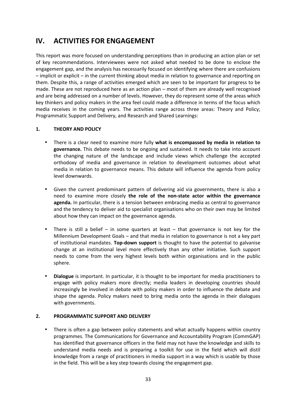#### **IV. ACTIVITIES FOR ENGAGEMENT**

This report was more focused on understanding perceptions than in producing an action plan or set of key recommendations. Interviewees were not asked what needed to be done to enclose the engagement gap, and the analysis has necessarily focused on identifying where there are confusions – implicit or explicit – in the current thinking about media in relation to governance and reporting on them. Despite this, a range of activities emerged which are seen to be important for progress to be made. These are not reproduced here as an action plan – most of them are already well recognised and are being addressed on a number of levels. However, they do represent some of the areas which key thinkers and policy makers in the area feel could made a difference in terms of the focus which media receives in the coming years. The activities range across three areas: Theory and Policy; Programmatic Support and Delivery, and Research and Shared Learnings:

#### **1. THEORY AND POLICY**

- There is a clear need to examine more fully **what is encompassed by media in relation to governance.** This debate needs to be ongoing and sustained. It needs to take into account the changing nature of the landscape and include views which challenge the accepted orthodoxy of media and governance in relation to development outcomes about what media in relation to governance means. This debate will influence the agenda from policy level downwards.
- Given the current predominant pattern of delivering aid via governments, there is also a need to examine more closely **the role of the non‐state actor within the governance agenda.** In particular, there is a tension between embracing media as central to governance and the tendency to deliver aid to specialist organisations who on their own may be limited about how they can impact on the governance agenda.
- There is still a belief in some quarters at least that governance is not key for the Millennium Development Goals – and that media in relation to governance is not a key part of institutional mandates. **Top‐down support** is thought to have the potential to galvanise change at an institutional level more effectively than any other initiative. Such support needs to come from the very highest levels both within organisations and in the public sphere.
- **Dialogue** is important. In particular, it is thought to be important for media practitioners to engage with policy makers more directly; media leaders in developing countries should increasingly be involved in debate with policy makers in order to influence the debate and shape the agenda. Policy makers need to bring media onto the agenda in their dialogues with governments.

#### **2. PROGRAMMATIC SUPPORT AND DELIVERY**

• There is often a gap between policy statements and what actually happens within country programmes. The Communications for Governance and Accountability Program (CommGAP) has identified that governance officers in the field may not have the knowledge and skills to understand media needs and is preparing a toolkit for use in the field which will distil knowledge from a range of practitioners in media support in a way which is usable by those in the field. This will be a key step towards closing the engagement gap.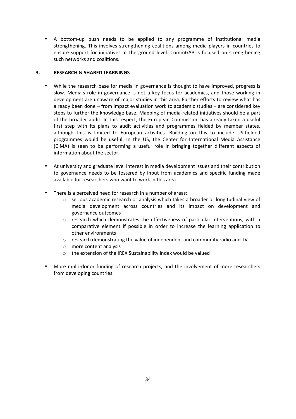• A bottom-up push needs to be applied to any programme of institutional media strengthening. This involves strengthening coalitions among media players in countries to ensure support for initiatives at the ground level. CommGAP is focused on strengthening such networks and coalitions.

#### **3. RESEARCH & SHARED LEARNINGS**

- While the research base for media in governance is thought to have improved, progress is slow. Media's role in governance is not a key focus for academics, and those working in development are unaware of major studies in this area. Further efforts to review what has already been done – from impact evaluation work to academic studies – are considered key steps to further the knowledge base. Mapping of media‐related initiatives should be a part of the broader audit. In this respect, the European Commission has already taken a useful first step with its plans to audit activities and programmes fielded by member states, although this is limited to European activities. Building on this to include US-fielded programmes would be useful. In the US, the Center for International Media Assistance (CIMA) is seen to be performing a useful role in bringing together different aspects of information about the sector.
- At university and graduate level interest in media development issues and their contribution to governance needs to be fostered by input from academics and specific funding made available for researchers who want to work in this area.
- There is a perceived need for research in a number of areas:
	- $\circ$  serious academic research or analysis which takes a broader or longitudinal view of media development across countries and its impact on development and governance outcomes
	- $\circ$  research which demonstrates the effectiveness of particular interventions, with a comparative element if possible in order to increase the learning application to other environments
	- o research demonstrating the value of independent and community radio and TV
	- o more content analysis
	- o the extension of the IREX Sustainability Index would be valued
- More multi-donor funding of research projects, and the involvement of more researchers from developing countries.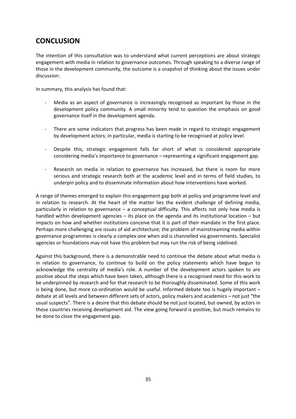#### **CONCLUSION**

The intention of this consultation was to understand what current perceptions are about strategic engagement with media in relation to governance outcomes. Through speaking to a diverse range of those in the development community, the outcome is a snapshot of thinking about the issues under discussion:

In summary, this analysis has found that:

- ‐ Media as an aspect of governance is increasingly recognised as important by those in the development policy community. A small minority tend to question the emphasis on good governance itself in the development agenda.
- There are some indicators that progress has been made in regard to strategic engagement by development actors; in particular, media is starting to be recognised at policy level.
- Despite this, strategic engagement falls far short of what is considered appropriate considering media's importance to governance – representing a significant engagement gap.
- Research on media in relation to governance has increased, but there is room for more serious and strategic research both at the academic level and in terms of field studies, to underpin policy and to disseminate information about how interventions have worked.

A range of themes emerged to explain this engagement gap both at policy and programme level and in relation to research. At the heart of the matter lies the evident challenge of defining media, particularly in relation to governance – a conceptual difficulty. This affects not only how media is handled within development agencies – its place on the agenda and its institutional location – but impacts on how and whether institutions conceive that it is part of their mandate in the first place. Perhaps more challenging are issues of aid architecture; the problem of mainstreaming media within governance programmes is clearly a complex one when aid is channelled via governments. Specialist agencies or foundations may not have this problem but may run the risk of being sidelined.

Against this background, there is a demonstrable need to continue the debate about what media is in relation to governance, to continue to build on the policy statements which have begun to acknowledge the centrality of media's role. A number of the development actors spoken to are positive about the steps which have been taken, although there is a recognised need for this work to be underpinned by research and for that research to be thoroughly disseminated. Some of this work is being done, but more co-ordination would be useful. Informed debate too is hugely important – debate at all levels and between different sets of actors, policy makers and academics – not just "the usual suspects". There is a desire that this debate should be not just located, but owned, by actors in those countries receiving development aid. The view going forward is positive, but much remains to be done to close the engagement gap.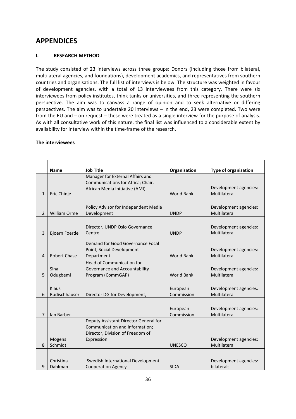#### **APPENDICES**

#### **I. RESEARCH METHOD**

The study consisted of 23 interviews across three groups: Donors (including those from bilateral, multilateral agencies, and foundations), development academics, and representatives from southern countries and organisations. The full list of interviews is below. The structure was weighted in favour of development agencies, with a total of 13 interviewees from this category. There were six interviewees from policy institutes, think tanks or universities, and three representing the southern perspective. The aim was to canvass a range of opinion and to seek alternative or differing perspectives. The aim was to undertake 20 interviews – in the end, 23 were completed. Two were from the EU and – on request – these were treated as a single interview for the purpose of analysis. As with all consultative work of this nature, the final list was influenced to a considerable extent by availability for interview within the time‐frame of the research.

#### **The interviewees**

|                | <b>Name</b>            | <b>Job Title</b>                                                                                                          | Organisation           | <b>Type of organisation</b>           |
|----------------|------------------------|---------------------------------------------------------------------------------------------------------------------------|------------------------|---------------------------------------|
|                |                        | Manager for External Affairs and<br>Communications for Africa; Chair,                                                     |                        |                                       |
| $\mathbf{1}$   | Eric Chinje            | African Media Initiative (AMI)                                                                                            | <b>World Bank</b>      | Development agencies:<br>Multilateral |
| $\overline{2}$ | William Orme           | Policy Advisor for Independent Media<br>Development                                                                       | <b>UNDP</b>            | Development agencies:<br>Multilateral |
| 3              | Bjoern Foerde          | Director, UNDP Oslo Governance<br>Centre                                                                                  | <b>UNDP</b>            | Development agencies:<br>Multilateral |
| 4              | Robert Chase           | Demand for Good Governance Focal<br>Point, Social Development<br>Department                                               | <b>World Bank</b>      | Development agencies:<br>Multilateral |
| 5              | Sina<br>Odugbemi       | Head of Communication for<br>Governance and Accountability<br>Program (CommGAP)                                           | <b>World Bank</b>      | Development agencies:<br>Multilateral |
| 6              | Klaus<br>Rudischhauser | Director DG for Development,                                                                                              | European<br>Commission | Development agencies:<br>Multilateral |
| 7              | Ian Barber             |                                                                                                                           | European<br>Commission | Development agencies:<br>Multilateral |
|                | Mogens                 | Deputy Assistant Director General for<br>Communication and Information;<br>Director, Division of Freedom of<br>Expression |                        | Development agencies:                 |
| 8              | Schmidt                |                                                                                                                           | <b>UNESCO</b>          | Multilateral                          |
| 9              | Christina<br>Dahlman   | Swedish International Development<br><b>Cooperation Agency</b>                                                            | <b>SIDA</b>            | Development agencies:<br>bilaterals   |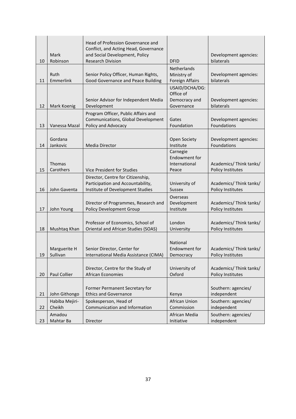| 10 | Mark<br>Robinson         | Head of Profession Governance and<br>Conflict, and Acting Head, Governance<br>and Social Development, Policy<br><b>Research Division</b> | <b>DFID</b>                                                 | Development agencies:<br>bilaterals                |
|----|--------------------------|------------------------------------------------------------------------------------------------------------------------------------------|-------------------------------------------------------------|----------------------------------------------------|
| 11 | Ruth<br>Emmerlink        | Senior Policy Officer, Human Rights,<br>Good Governance and Peace Building                                                               | <b>Netherlands</b><br>Ministry of<br><b>Foreign Affairs</b> | Development agencies:<br>bilaterals                |
| 12 | Mark Koenig              | Senior Advisor for Independent Media<br>Development                                                                                      | USAID/DCHA/DG:<br>Office of<br>Democracy and<br>Governance  | Development agencies:<br>bilaterals                |
| 13 | Vanessa Mazal            | Program Officer, Public Affairs and<br>Communications, Global Development<br>Policy and Advocacy                                         | Gates<br>Foundation                                         | Development agencies:<br>Foundations               |
| 14 | Gordana<br>Jankovic      | <b>Media Director</b>                                                                                                                    | Open Society<br>Institute                                   | Development agencies:<br>Foundations               |
| 15 | Thomas<br>Carothers      | Vice President for Studies                                                                                                               | Carnegie<br><b>Endowment for</b><br>International<br>Peace  | Academics/ Think tanks/<br>Policy Institutes       |
| 16 | John Gaventa             | Director, Centre for Citizenship,<br>Participation and Accountability,<br>Institute of Development Studies                               | University of<br><b>Sussex</b>                              | Academics/ Think tanks/<br>Policy Institutes       |
| 17 | John Young               | Director of Programmes, Research and<br><b>Policy Development Group</b>                                                                  | Overseas<br>Development<br>Institute                        | Academics/ Think tanks/<br>Policy Institutes       |
| 18 | Mushtaq Khan             | Professor of Economics, School of<br>Oriental and African Studies (SOAS)                                                                 | London<br>University                                        | Academics/ Think tanks/<br>Policy Institutes       |
| 19 | Marguerite H<br>Sullivan | Senior Director, Center for<br>International Media Assistance (CIMA)                                                                     | National<br>Endowment for<br>Democracy                      | Academics/Think tanks/<br><b>Policy Institutes</b> |
| 20 | Paul Collier             | Director, Centre for the Study of<br>African Economies                                                                                   | University of<br>Oxford                                     | Academics/ Think tanks/<br>Policy Institutes       |
| 21 | John Githongo            | Former Permanent Secretary for<br><b>Ethics and Governance</b>                                                                           | Kenya                                                       | Southern: agencies/<br>independent                 |
| 22 | Habiba Mejiri-<br>Cheikh | Spokesperson, Head of<br>Communication and Information                                                                                   | <b>African Union</b><br>Commission                          | Southern: agencies/<br>independent                 |
| 23 | Amadou<br>Mahtar Ba      | Director                                                                                                                                 | African Media<br>Initiative                                 | Southern: agencies/<br>independent                 |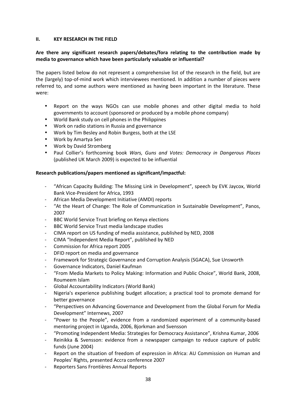#### **II. KEY RESEARCH IN THE FIELD**

#### **Are there any significant research papers/debates/fora relating to the contribution made by media to governance which have been particularly valuable or influential?**

The papers listed below do not represent a comprehensive list of the research in the field, but are the (largely) top‐of‐mind work which interviewees mentioned. In addition a number of pieces were referred to, and some authors were mentioned as having been important in the literature. These were:

- Report on the ways NGOs can use mobile phones and other digital media to hold governments to account (sponsored or produced by a mobile phone company)
- World Bank study on cell phones in the Philippines
- Work on radio stations in Russia and governance
- Work by Tim Besley and Robin Burgess, both at the LSE
- Work by Amartya Sen
- Work by David Stromberg
- Paul Collier's forthcoming book *Wars, Guns and Votes: Democracy in Dangerous Places* (published UK March 2009) is expected to be influential

#### **Research publications/papers mentioned as significant/impactful:**

- ‐ "African Capacity Building: The Missing Link in Development", speech by EVK Jaycox, World Bank Vice‐President for Africa, 1993
- ‐ African Media Development Initiative (AMDI) reports
- ‐ "At the Heart of Change: The Role of Communication in Sustainable Development", Panos, 2007
- BBC World Service Trust briefing on Kenya elections
- ‐ BBC World Service Trust media landscape studies
- ‐ CIMA report on US funding of media assistance, published by NED, 2008
- ‐ CIMA "Independent Media Report", published by NED
- ‐ Commission for Africa report 2005
- ‐ DFID report on media and governance
- ‐ Framework for Strategic Governance and Corruption Analysis (SGACA), Sue Unsworth
- ‐ Governance Indicators, Daniel Kaufman
- ‐ "From Media Markets to Policy Making: Information and Public Choice", World Bank, 2008, Roumeem Islam
- ‐ Global Accountability Indicators (World Bank)
- Nigeria's experience publishing budget allocation; a practical tool to promote demand for better governance
- ‐ "Perspectives on Advancing Governance and Development from the Global Forum for Media Development" Internews, 2007
- ‐ "Power to the People", evidence from a randomized experiment of a community‐based mentoring project in Uganda, 2006, Bjorkman and Svensson
- ‐ "Promoting Independent Media: Strategies for Democracy Assistance", Krishna Kumar, 2006
- Reinikka & Svensson: evidence from a newspaper campaign to reduce capture of public funds (June 2004)
- ‐ Report on the situation of freedom of expression in Africa: AU Commission on Human and Peoples' Rights, presented Accra conference 2007
- ‐ Reporters Sans Frontières Annual Reports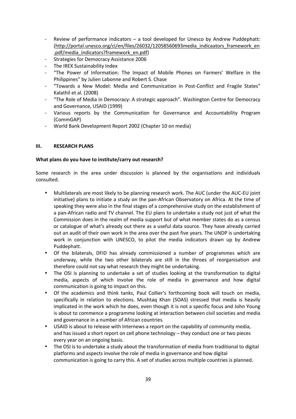- ‐ Review of performance indicators a tool developed for Unesco by Andrew Puddephatt: (http://portal.unesco.org/ci/en/files/26032/12058560693media\_indicaators\_framework\_en .pdf/media\_indicators?framework\_en.pdf)
- ‐ Strategies for Democracy Assistance 2006
- ‐ The IREX Sustainability Index
- ‐ "The Power of Information: The Impact of Mobile Phones on Farmers' Welfare in the Philippines" by Julien Labonne and Robert S. Chase
- ‐ "Towards a New Model: Media and Communication in Post‐Conflict and Fragile States" Kalathil et al. (2008)
- ‐ "The Role of Media in Democracy: A strategic approach". Washington Centre for Democracy and Governance, USAID (1999)
- ‐ Various reports by the Communication for Governance and Accountability Program (CommGAP)
- ‐ World Bank Development Report 2002 (Chapter 10 on media)

#### **III. RESEARCH PLANS**

#### **What plans do you have to institute/carry out research?**

Some research in the area under discussion is planned by the organisations and individuals consulted.

- Multilaterals are most likely to be planning research work. The AUC (under the AUC‐EU joint initiative) plans to initiate a study on the pan‐African Observatory on Africa. At the time of speaking they were also in the final stages of a comprehensive study on the establishment of a pan‐African radio and TV channel. The EU plans to undertake a study not just of what the Commission does in the realm of media support but of what member states do as a census or catalogue of what's already out there as a useful data source. They have already carried out an audit of their own work in the area over the past five years. The UNDP is undertaking work in conjunction with UNESCO, to pilot the media indicators drawn up by Andrew Puddephatt.
- Of the bilaterals, DFID has already commissioned a number of programmes which are underway, while the two other bilaterals are still in the throes of reorganisation and therefore could not say what research they might be undertaking.
- The OSI is planning to undertake a set of studies looking at the transformation to digital media, aspects of which involve the role of media in governance and how digital communication is going to impact on this.
- Of the academics and think tanks, Paul Collier's forthcoming book will touch on media, specifically in relation to elections. Mushtaq Khan (SOAS) stressed that media is heavily implicated in the work which he does, even though it is not a specific focus and John Young is about to commence a programme looking at interaction between civil societies and media and governance in a number of African countries.
- USAID is about to release with Internews a report on the capability of community media, and has issued a short report on cell phone technology – they conduct one or two pieces every year on an ongoing basis.
- The OSI is to undertake a study about the transformation of media from traditional to digital platforms and aspects involve the role of media in governance and how digital communication is going to carry this. A set of studies across multiple countries is planned.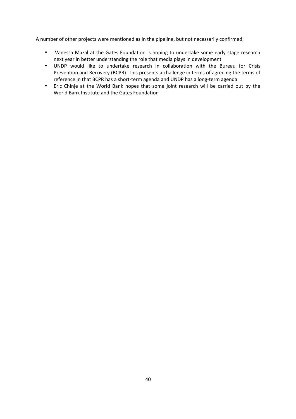A number of other projects were mentioned as in the pipeline, but not necessarily confirmed:

- Vanessa Mazal at the Gates Foundation is hoping to undertake some early stage research next year in better understanding the role that media plays in development
- UNDP would like to undertake research in collaboration with the Bureau for Crisis Prevention and Recovery (BCPR). This presents a challenge in terms of agreeing the terms of reference in that BCPR has a short‐term agenda and UNDP has a long‐term agenda
- Eric Chinje at the World Bank hopes that some joint research will be carried out by the World Bank Institute and the Gates Foundation